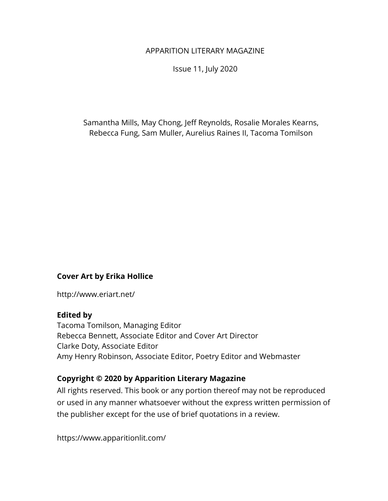#### APPARITION LITERARY MAGAZINE

Issue 11, July 2020

Samantha Mills, May Chong, Jeff Reynolds, Rosalie Morales Kearns, Rebecca Fung, Sam Muller, Aurelius Raines II, Tacoma Tomilson

#### **Cover Art by Erika Hollice**

http://www.eriart.net/

#### **Edited by**

Tacoma Tomilson, Managing Editor Rebecca Bennett, Associate Editor and Cover Art Director Clarke Doty, Associate Editor Amy Henry Robinson, Associate Editor, Poetry Editor and Webmaster

#### **Copyright © 2020 by Apparition Literary Magazine**

All rights reserved. This book or any portion thereof may not be reproduced or used in any manner whatsoever without the express written permission of the publisher except for the use of brief quotations in a review.

https://www.apparitionlit.com/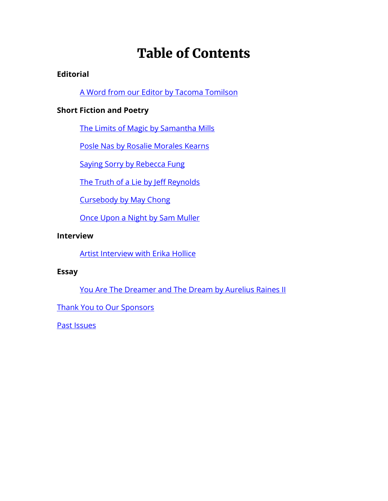### Table of Contents

#### **Editorial**

[A Word from our Editor by Tacoma Tomilson](#page-2-0)

#### **Short Fiction and Poetry**

[The Limits of Magic by Samantha Mills](#page-4-0)

[Posle Nas by Rosalie Morales Kearns](#page-15-0)

[Saying Sorry by Rebecca Fung](#page-18-0)

[The Truth of a Lie by Jeff Reynolds](#page-34-0)

[Cursebody by May Chong](#page-50-0)

[Once Upon a Night by Sam Muller](#page-54-0)

#### **Interview**

[Artist Interview with Erika Hollice](#page-66-0)

#### **Essay**

[You Are The Dreamer and The Dream](#page-68-0) by Aurelius Raines II

[Thank You to Our Sponsors](#page-72-0)

[Past Issues](#page-74-0)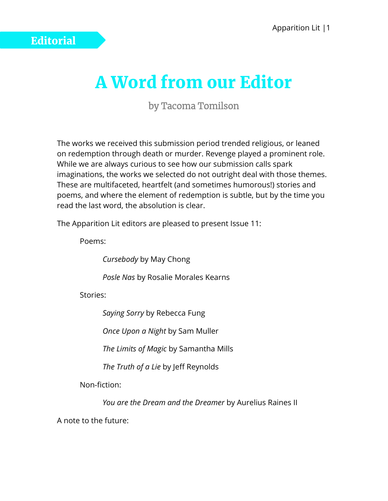## A Word from our Editor

by Tacoma Tomilson

<span id="page-2-0"></span>The works we received this submission period trended religious, or leaned on redemption through death or murder. Revenge played a prominent role. While we are always curious to see how our submission calls spark imaginations, the works we selected do not outright deal with those themes. These are multifaceted, heartfelt (and sometimes humorous!) stories and poems, and where the element of redemption is subtle, but by the time you read the last word, the absolution is clear.

The Apparition Lit editors are pleased to present Issue 11:

Poems:

*Cursebody* by May Chong

*Posle Nas* by Rosalie Morales Kearns

Stories:

*Saying Sorry* by Rebecca Fung

*Once Upon a Night* by Sam Muller

*The Limits of Magic* by Samantha Mills

*The Truth of a Lie* by Jeff Reynolds

Non-fiction:

*You are the Dream and the Dreamer* by Aurelius Raines II

A note to the future: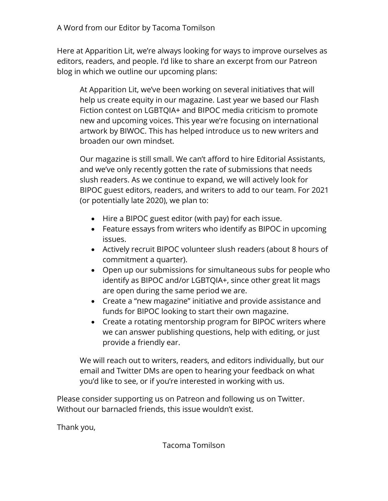Here at Apparition Lit, we're always looking for ways to improve ourselves as editors, readers, and people. I'd like to share an excerpt from our Patreon blog in which we outline our upcoming plans:

At Apparition Lit, we've been working on several initiatives that will help us create equity in our magazine. Last year we based our Flash Fiction contest on LGBTQIA+ and BIPOC media criticism to promote new and upcoming voices. This year we're focusing on international artwork by BIWOC. This has helped introduce us to new writers and broaden our own mindset.

Our magazine is still small. We can't afford to hire Editorial Assistants, and we've only recently gotten the rate of submissions that needs slush readers. As we continue to expand, we will actively look for BIPOC guest editors, readers, and writers to add to our team. For 2021 (or potentially late 2020), we plan to:

- Hire a BIPOC guest editor (with pay) for each issue.
- Feature essays from writers who identify as BIPOC in upcoming issues.
- Actively recruit BIPOC volunteer slush readers (about 8 hours of commitment a quarter).
- Open up our submissions for simultaneous subs for people who identify as BIPOC and/or LGBTQIA+, since other great lit mags are open during the same period we are.
- Create a "new magazine" initiative and provide assistance and funds for BIPOC looking to start their own magazine.
- Create a rotating mentorship program for BIPOC writers where we can answer publishing questions, help with editing, or just provide a friendly ear.

We will reach out to writers, readers, and editors individually, but our email and Twitter DMs are open to hearing your feedback on what you'd like to see, or if you're interested in working with us.

Please consider supporting us on Patreon and following us on Twitter. Without our barnacled friends, this issue wouldn't exist.

Thank you,

Tacoma Tomilson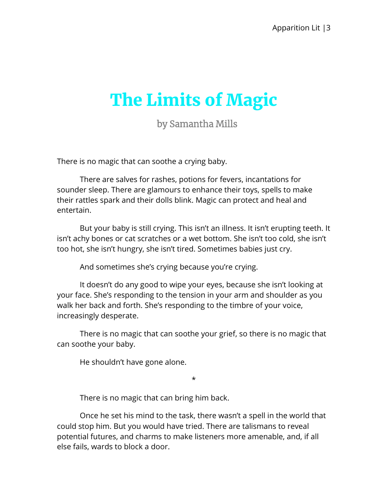# <span id="page-4-0"></span>The Limits of Magic

by Samantha Mills

There is no magic that can soothe a crying baby.

There are salves for rashes, potions for fevers, incantations for sounder sleep. There are glamours to enhance their toys, spells to make their rattles spark and their dolls blink. Magic can protect and heal and entertain.

But your baby is still crying. This isn't an illness. It isn't erupting teeth. It isn't achy bones or cat scratches or a wet bottom. She isn't too cold, she isn't too hot, she isn't hungry, she isn't tired. Sometimes babies just cry.

And sometimes she's crying because you're crying.

It doesn't do any good to wipe your eyes, because she isn't looking at your face. She's responding to the tension in your arm and shoulder as you walk her back and forth. She's responding to the timbre of your voice, increasingly desperate.

There is no magic that can soothe your grief, so there is no magic that can soothe your baby.

He shouldn't have gone alone.

\*

There is no magic that can bring him back.

Once he set his mind to the task, there wasn't a spell in the world that could stop him. But you would have tried. There are talismans to reveal potential futures, and charms to make listeners more amenable, and, if all else fails, wards to block a door.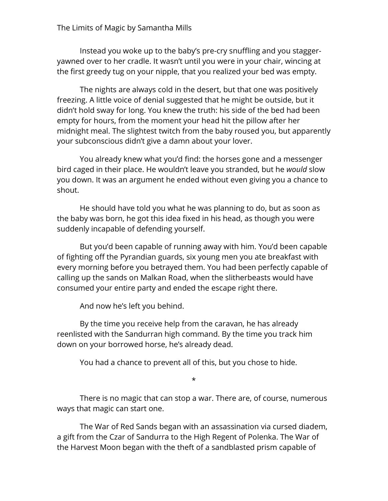#### The Limits of Magic by Samantha Mills

Instead you woke up to the baby's pre-cry snuffling and you staggeryawned over to her cradle. It wasn't until you were in your chair, wincing at the first greedy tug on your nipple, that you realized your bed was empty.

The nights are always cold in the desert, but that one was positively freezing. A little voice of denial suggested that he might be outside, but it didn't hold sway for long. You knew the truth: his side of the bed had been empty for hours, from the moment your head hit the pillow after her midnight meal. The slightest twitch from the baby roused you, but apparently your subconscious didn't give a damn about your lover.

You already knew what you'd find: the horses gone and a messenger bird caged in their place. He wouldn't leave you stranded, but he *would* slow you down. It was an argument he ended without even giving you a chance to shout.

He should have told you what he was planning to do, but as soon as the baby was born, he got this idea fixed in his head, as though you were suddenly incapable of defending yourself.

But you'd been capable of running away with him. You'd been capable of fighting off the Pyrandian guards, six young men you ate breakfast with every morning before you betrayed them. You had been perfectly capable of calling up the sands on Malkan Road, when the slitherbeasts would have consumed your entire party and ended the escape right there.

And now he's left you behind.

By the time you receive help from the caravan, he has already reenlisted with the Sandurran high command. By the time you track him down on your borrowed horse, he's already dead.

You had a chance to prevent all of this, but you chose to hide.

\*

There is no magic that can stop a war. There are, of course, numerous ways that magic can start one.

The War of Red Sands began with an assassination via cursed diadem, a gift from the Czar of Sandurra to the High Regent of Polenka. The War of the Harvest Moon began with the theft of a sandblasted prism capable of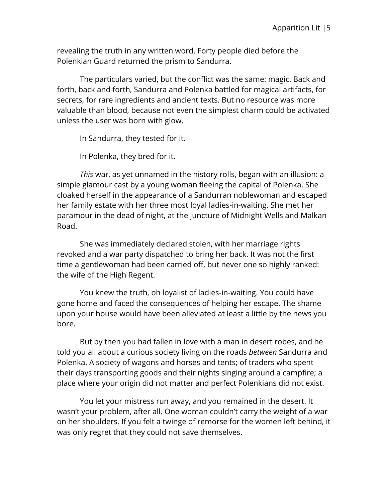revealing the truth in any written word. Forty people died before the Polenkian Guard returned the prism to Sandurra.

The particulars varied, but the conflict was the same: magic. Back and forth, back and forth, Sandurra and Polenka battled for magical artifacts, for secrets, for rare ingredients and ancient texts. But no resource was more valuable than blood, because not even the simplest charm could be activated unless the user was born with glow.

In Sandurra, they tested for it.

In Polenka, they bred for it.

*This* war, as yet unnamed in the history rolls, began with an illusion: a simple glamour cast by a young woman fleeing the capital of Polenka. She cloaked herself in the appearance of a Sandurran noblewoman and escaped her family estate with her three most loyal ladies-in-waiting. She met her paramour in the dead of night, at the juncture of Midnight Wells and Malkan Road.

She was immediately declared stolen, with her marriage rights revoked and a war party dispatched to bring her back. It was not the first time a gentlewoman had been carried off, but never one so highly ranked: the wife of the High Regent.

You knew the truth, oh loyalist of ladies-in-waiting. You could have gone home and faced the consequences of helping her escape. The shame upon your house would have been alleviated at least a little by the news you bore.

But by then you had fallen in love with a man in desert robes, and he told you all about a curious society living on the roads *between* Sandurra and Polenka. A society of wagons and horses and tents; of traders who spent their days transporting goods and their nights singing around a campfire; a place where your origin did not matter and perfect Polenkians did not exist.

You let your mistress run away, and you remained in the desert. It wasn't your problem, after all. One woman couldn't carry the weight of a war on her shoulders. If you felt a twinge of remorse for the women left behind, it was only regret that they could not save themselves.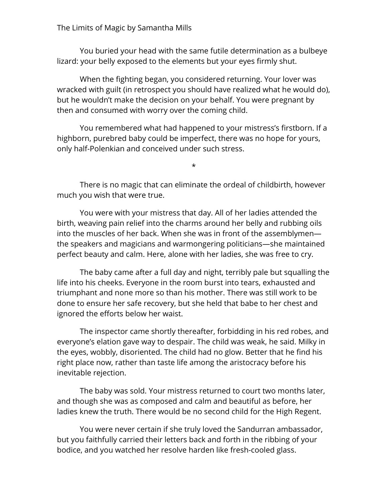You buried your head with the same futile determination as a bulbeye lizard: your belly exposed to the elements but your eyes firmly shut.

When the fighting began, you considered returning. Your lover was wracked with guilt (in retrospect you should have realized what he would do), but he wouldn't make the decision on your behalf. You were pregnant by then and consumed with worry over the coming child.

You remembered what had happened to your mistress's firstborn. If a highborn, purebred baby could be imperfect, there was no hope for yours, only half-Polenkian and conceived under such stress.

\*

There is no magic that can eliminate the ordeal of childbirth, however much you wish that were true.

You were with your mistress that day. All of her ladies attended the birth, weaving pain relief into the charms around her belly and rubbing oils into the muscles of her back. When she was in front of the assemblymen the speakers and magicians and warmongering politicians—she maintained perfect beauty and calm. Here, alone with her ladies, she was free to cry.

The baby came after a full day and night, terribly pale but squalling the life into his cheeks. Everyone in the room burst into tears, exhausted and triumphant and none more so than his mother. There was still work to be done to ensure her safe recovery, but she held that babe to her chest and ignored the efforts below her waist.

The inspector came shortly thereafter, forbidding in his red robes, and everyone's elation gave way to despair. The child was weak, he said. Milky in the eyes, wobbly, disoriented. The child had no glow. Better that he find his right place now, rather than taste life among the aristocracy before his inevitable rejection.

The baby was sold. Your mistress returned to court two months later, and though she was as composed and calm and beautiful as before, her ladies knew the truth. There would be no second child for the High Regent.

You were never certain if she truly loved the Sandurran ambassador, but you faithfully carried their letters back and forth in the ribbing of your bodice, and you watched her resolve harden like fresh-cooled glass.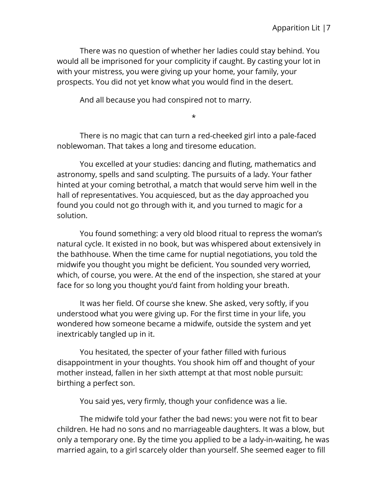There was no question of whether her ladies could stay behind. You would all be imprisoned for your complicity if caught. By casting your lot in with your mistress, you were giving up your home, your family, your prospects. You did not yet know what you would find in the desert.

And all because you had conspired not to marry.

\*

There is no magic that can turn a red-cheeked girl into a pale-faced noblewoman. That takes a long and tiresome education.

You excelled at your studies: dancing and fluting, mathematics and astronomy, spells and sand sculpting. The pursuits of a lady. Your father hinted at your coming betrothal, a match that would serve him well in the hall of representatives. You acquiesced, but as the day approached you found you could not go through with it, and you turned to magic for a solution.

You found something: a very old blood ritual to repress the woman's natural cycle. It existed in no book, but was whispered about extensively in the bathhouse. When the time came for nuptial negotiations, you told the midwife you thought you might be deficient. You sounded very worried, which, of course, you were. At the end of the inspection, she stared at your face for so long you thought you'd faint from holding your breath.

It was her field. Of course she knew. She asked, very softly, if you understood what you were giving up. For the first time in your life, you wondered how someone became a midwife, outside the system and yet inextricably tangled up in it.

You hesitated, the specter of your father filled with furious disappointment in your thoughts. You shook him off and thought of your mother instead, fallen in her sixth attempt at that most noble pursuit: birthing a perfect son.

You said yes, very firmly, though your confidence was a lie.

The midwife told your father the bad news: you were not fit to bear children. He had no sons and no marriageable daughters. It was a blow, but only a temporary one. By the time you applied to be a lady-in-waiting, he was married again, to a girl scarcely older than yourself. She seemed eager to fill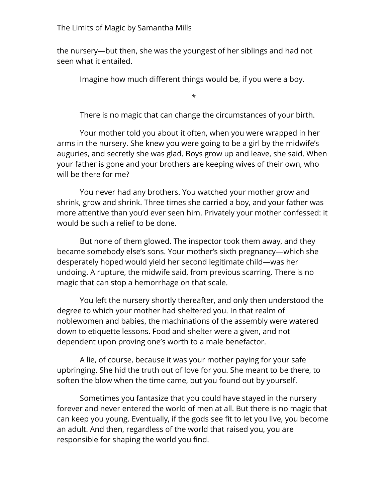the nursery—but then, she was the youngest of her siblings and had not seen what it entailed.

Imagine how much different things would be, if you were a boy.

\*

There is no magic that can change the circumstances of your birth.

Your mother told you about it often, when you were wrapped in her arms in the nursery. She knew you were going to be a girl by the midwife's auguries, and secretly she was glad. Boys grow up and leave, she said. When your father is gone and your brothers are keeping wives of their own, who will be there for me?

You never had any brothers. You watched your mother grow and shrink, grow and shrink. Three times she carried a boy, and your father was more attentive than you'd ever seen him. Privately your mother confessed: it would be such a relief to be done.

But none of them glowed. The inspector took them away, and they became somebody else's sons. Your mother's sixth pregnancy—which she desperately hoped would yield her second legitimate child—was her undoing. A rupture, the midwife said, from previous scarring. There is no magic that can stop a hemorrhage on that scale.

You left the nursery shortly thereafter, and only then understood the degree to which your mother had sheltered you. In that realm of noblewomen and babies, the machinations of the assembly were watered down to etiquette lessons. Food and shelter were a given, and not dependent upon proving one's worth to a male benefactor.

A lie, of course, because it was your mother paying for your safe upbringing. She hid the truth out of love for you. She meant to be there, to soften the blow when the time came, but you found out by yourself.

Sometimes you fantasize that you could have stayed in the nursery forever and never entered the world of men at all. But there is no magic that can keep you young. Eventually, if the gods see fit to let you live, you become an adult. And then, regardless of the world that raised you, you are responsible for shaping the world you find.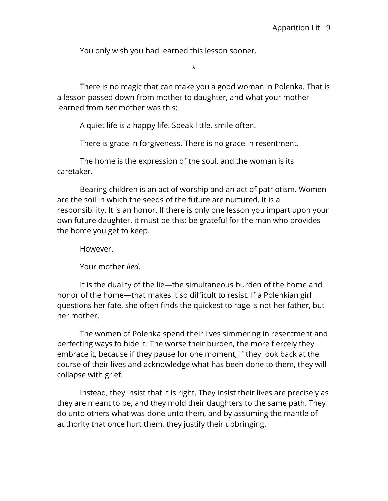You only wish you had learned this lesson sooner.

\*

There is no magic that can make you a good woman in Polenka. That is a lesson passed down from mother to daughter, and what your mother learned from *her* mother was this:

A quiet life is a happy life. Speak little, smile often.

There is grace in forgiveness. There is no grace in resentment.

The home is the expression of the soul, and the woman is its caretaker.

Bearing children is an act of worship and an act of patriotism. Women are the soil in which the seeds of the future are nurtured. It is a responsibility. It is an honor. If there is only one lesson you impart upon your own future daughter, it must be this: be grateful for the man who provides the home you get to keep.

However.

Your mother *lied*.

It is the duality of the lie—the simultaneous burden of the home and honor of the home—that makes it so difficult to resist. If a Polenkian girl questions her fate, she often finds the quickest to rage is not her father, but her mother.

The women of Polenka spend their lives simmering in resentment and perfecting ways to hide it. The worse their burden, the more fiercely they embrace it, because if they pause for one moment, if they look back at the course of their lives and acknowledge what has been done to them, they will collapse with grief.

Instead, they insist that it is right. They insist their lives are precisely as they are meant to be, and they mold their daughters to the same path. They do unto others what was done unto them, and by assuming the mantle of authority that once hurt them, they justify their upbringing.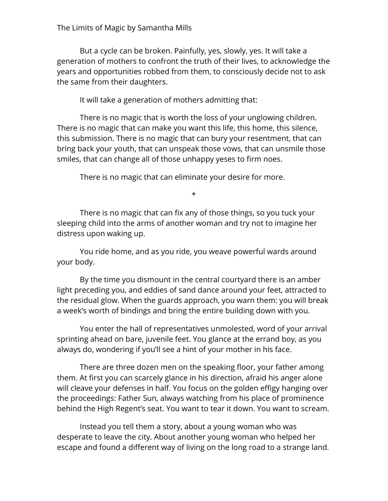#### The Limits of Magic by Samantha Mills

But a cycle can be broken. Painfully, yes, slowly, yes. It will take a generation of mothers to confront the truth of their lives, to acknowledge the years and opportunities robbed from them, to consciously decide not to ask the same from their daughters.

It will take a generation of mothers admitting that:

There is no magic that is worth the loss of your unglowing children. There is no magic that can make you want this life, this home, this silence, this submission. There is no magic that can bury your resentment, that can bring back your youth, that can unspeak those vows, that can unsmile those smiles, that can change all of those unhappy yeses to firm noes.

There is no magic that can eliminate your desire for more.

\*

There is no magic that can fix any of those things, so you tuck your sleeping child into the arms of another woman and try not to imagine her distress upon waking up.

You ride home, and as you ride, you weave powerful wards around your body.

By the time you dismount in the central courtyard there is an amber light preceding you, and eddies of sand dance around your feet, attracted to the residual glow. When the guards approach, you warn them: you will break a week's worth of bindings and bring the entire building down with you.

You enter the hall of representatives unmolested, word of your arrival sprinting ahead on bare, juvenile feet. You glance at the errand boy, as you always do, wondering if you'll see a hint of your mother in his face.

There are three dozen men on the speaking floor, your father among them. At first you can scarcely glance in his direction, afraid his anger alone will cleave your defenses in half. You focus on the golden effigy hanging over the proceedings: Father Sun, always watching from his place of prominence behind the High Regent's seat. You want to tear it down. You want to scream.

Instead you tell them a story, about a young woman who was desperate to leave the city. About another young woman who helped her escape and found a different way of living on the long road to a strange land.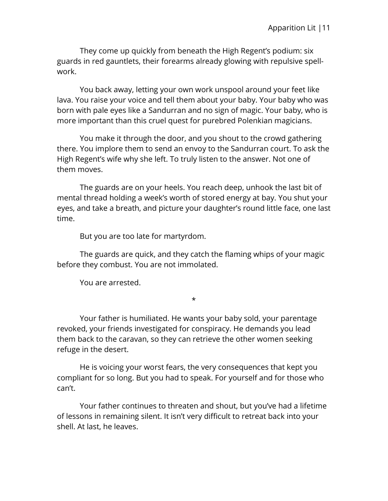They come up quickly from beneath the High Regent's podium: six guards in red gauntlets, their forearms already glowing with repulsive spellwork.

You back away, letting your own work unspool around your feet like lava. You raise your voice and tell them about your baby. Your baby who was born with pale eyes like a Sandurran and no sign of magic. Your baby, who is more important than this cruel quest for purebred Polenkian magicians.

You make it through the door, and you shout to the crowd gathering there. You implore them to send an envoy to the Sandurran court. To ask the High Regent's wife why she left. To truly listen to the answer. Not one of them moves.

The guards are on your heels. You reach deep, unhook the last bit of mental thread holding a week's worth of stored energy at bay. You shut your eyes, and take a breath, and picture your daughter's round little face, one last time.

But you are too late for martyrdom.

The guards are quick, and they catch the flaming whips of your magic before they combust. You are not immolated.

\*

You are arrested.

Your father is humiliated. He wants your baby sold, your parentage revoked, your friends investigated for conspiracy. He demands you lead them back to the caravan, so they can retrieve the other women seeking refuge in the desert.

He is voicing your worst fears, the very consequences that kept you compliant for so long. But you had to speak. For yourself and for those who can't.

Your father continues to threaten and shout, but you've had a lifetime of lessons in remaining silent. It isn't very difficult to retreat back into your shell. At last, he leaves.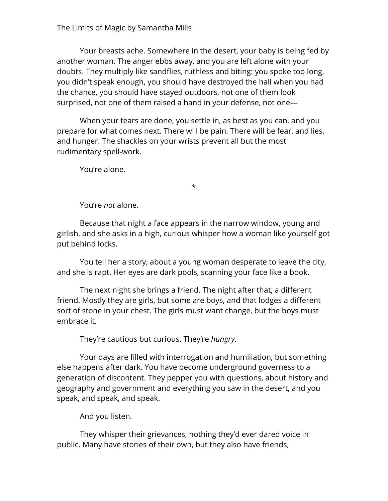#### The Limits of Magic by Samantha Mills

Your breasts ache. Somewhere in the desert, your baby is being fed by another woman. The anger ebbs away, and you are left alone with your doubts. They multiply like sandflies, ruthless and biting: you spoke too long, you didn't speak enough, you should have destroyed the hall when you had the chance, you should have stayed outdoors, not one of them look surprised, not one of them raised a hand in your defense, not one—

When your tears are done, you settle in, as best as you can, and you prepare for what comes next. There will be pain. There will be fear, and lies, and hunger. The shackles on your wrists prevent all but the most rudimentary spell-work.

You're alone.

\*

You're *not* alone.

Because that night a face appears in the narrow window, young and girlish, and she asks in a high, curious whisper how a woman like yourself got put behind locks.

You tell her a story, about a young woman desperate to leave the city, and she is rapt. Her eyes are dark pools, scanning your face like a book.

The next night she brings a friend. The night after that, a different friend. Mostly they are girls, but some are boys, and that lodges a different sort of stone in your chest. The girls must want change, but the boys must embrace it.

They're cautious but curious. They're *hungry*.

Your days are filled with interrogation and humiliation, but something else happens after dark. You have become underground governess to a generation of discontent. They pepper you with questions, about history and geography and government and everything you saw in the desert, and you speak, and speak, and speak.

And you listen.

They whisper their grievances, nothing they'd ever dared voice in public. Many have stories of their own, but they also have friends,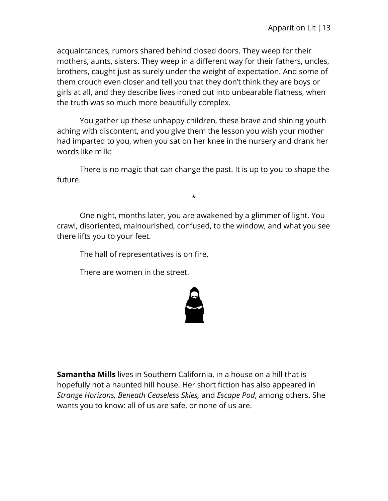acquaintances, rumors shared behind closed doors. They weep for their mothers, aunts, sisters. They weep in a different way for their fathers, uncles, brothers, caught just as surely under the weight of expectation. And some of them crouch even closer and tell you that they don't think they are boys or girls at all, and they describe lives ironed out into unbearable flatness, when the truth was so much more beautifully complex.

You gather up these unhappy children, these brave and shining youth aching with discontent, and you give them the lesson you wish your mother had imparted to you, when you sat on her knee in the nursery and drank her words like milk:

There is no magic that can change the past. It is up to you to shape the future.

\*

One night, months later, you are awakened by a glimmer of light. You crawl, disoriented, malnourished, confused, to the window, and what you see there lifts you to your feet.

The hall of representatives is on fire.

There are women in the street.



**Samantha Mills** lives in Southern California, in a house on a hill that is hopefully not a haunted hill house. Her short fiction has also appeared in *Strange Horizons, Beneath Ceaseless Skies,* and *Escape Pod*, among others. She wants you to know: all of us are safe, or none of us are.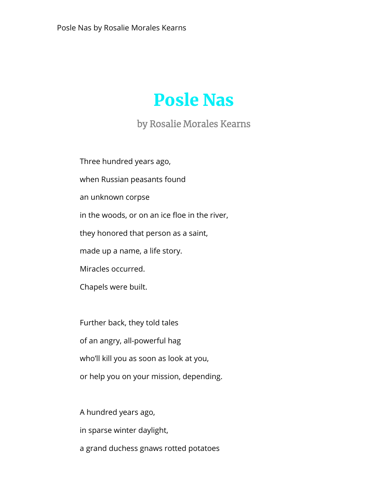## <span id="page-15-0"></span>Posle Nas

#### by Rosalie Morales Kearns

Three hundred years ago,

when Russian peasants found

an unknown corpse

in the woods, or on an ice floe in the river,

they honored that person as a saint,

made up a name, a life story.

Miracles occurred.

Chapels were built.

Further back, they told tales of an angry, all-powerful hag who'll kill you as soon as look at you, or help you on your mission, depending.

A hundred years ago,

in sparse winter daylight,

a grand duchess gnaws rotted potatoes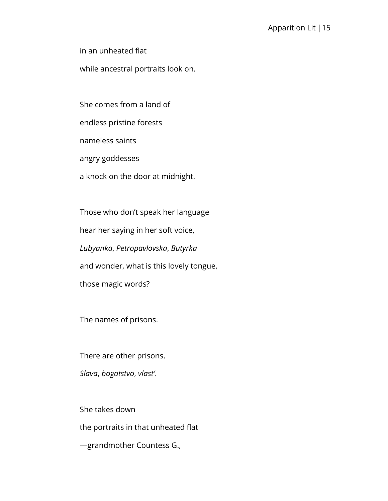in an unheated flat

while ancestral portraits look on.

She comes from a land of

endless pristine forests

nameless saints

angry goddesses

a knock on the door at midnight.

Those who don't speak her language hear her saying in her soft voice, *Lubyanka*, *Petropavlovska*, *Butyrka* and wonder, what is this lovely tongue, those magic words?

The names of prisons.

There are other prisons. *Slava*, *bogatstvo*, *vlast'*.

She takes down the portraits in that unheated flat —grandmother Countess G.,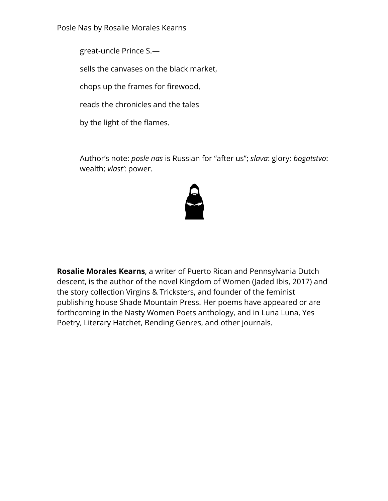Posle Nas by Rosalie Morales Kearns

great-uncle Prince S.—

sells the canvases on the black market,

chops up the frames for firewood,

reads the chronicles and the tales

by the light of the flames.

Author's note: *posle nas* is Russian for "after us"; *slava*: glory; *bogatstvo*: wealth; *vlast'*: power.



**Rosalie Morales Kearns**, a writer of Puerto Rican and Pennsylvania Dutch descent, is the author of the novel Kingdom of Women (Jaded Ibis, 2017) and the story collection Virgins & Tricksters, and founder of the feminist publishing house Shade Mountain Press. Her poems have appeared or are forthcoming in the Nasty Women Poets anthology, and in Luna Luna, Yes Poetry, Literary Hatchet, Bending Genres, and other journals.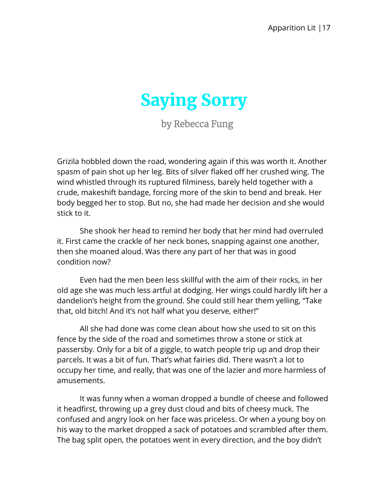<span id="page-18-0"></span>

by Rebecca Fung

Grizila hobbled down the road, wondering again if this was worth it. Another spasm of pain shot up her leg. Bits of silver flaked off her crushed wing. The wind whistled through its ruptured filminess, barely held together with a crude, makeshift bandage, forcing more of the skin to bend and break. Her body begged her to stop. But no, she had made her decision and she would stick to it.

She shook her head to remind her body that her mind had overruled it. First came the crackle of her neck bones, snapping against one another, then she moaned aloud. Was there any part of her that was in good condition now?

Even had the men been less skillful with the aim of their rocks, in her old age she was much less artful at dodging. Her wings could hardly lift her a dandelion's height from the ground. She could still hear them yelling, "Take that, old bitch! And it's not half what you deserve, either!"

All she had done was come clean about how she used to sit on this fence by the side of the road and sometimes throw a stone or stick at passersby. Only for a bit of a giggle, to watch people trip up and drop their parcels. It was a bit of fun. That's what fairies did. There wasn't a lot to occupy her time, and really, that was one of the lazier and more harmless of amusements.

It was funny when a woman dropped a bundle of cheese and followed it headfirst, throwing up a grey dust cloud and bits of cheesy muck. The confused and angry look on her face was priceless. Or when a young boy on his way to the market dropped a sack of potatoes and scrambled after them. The bag split open, the potatoes went in every direction, and the boy didn't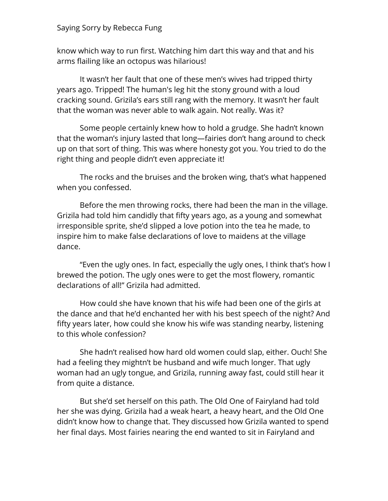know which way to run first. Watching him dart this way and that and his arms flailing like an octopus was hilarious!

It wasn't her fault that one of these men's wives had tripped thirty years ago. Tripped! The human's leg hit the stony ground with a loud cracking sound. Grizila's ears still rang with the memory. It wasn't her fault that the woman was never able to walk again. Not really. Was it?

Some people certainly knew how to hold a grudge. She hadn't known that the woman's injury lasted that long—fairies don't hang around to check up on that sort of thing. This was where honesty got you. You tried to do the right thing and people didn't even appreciate it!

The rocks and the bruises and the broken wing, that's what happened when you confessed.

Before the men throwing rocks, there had been the man in the village. Grizila had told him candidly that fifty years ago, as a young and somewhat irresponsible sprite, she'd slipped a love potion into the tea he made, to inspire him to make false declarations of love to maidens at the village dance.

"Even the ugly ones. In fact, especially the ugly ones, I think that's how I brewed the potion. The ugly ones were to get the most flowery, romantic declarations of all!" Grizila had admitted.

How could she have known that his wife had been one of the girls at the dance and that he'd enchanted her with his best speech of the night? And fifty years later, how could she know his wife was standing nearby, listening to this whole confession?

She hadn't realised how hard old women could slap, either. Ouch! She had a feeling they mightn't be husband and wife much longer. That ugly woman had an ugly tongue, and Grizila, running away fast, could still hear it from quite a distance.

But she'd set herself on this path. The Old One of Fairyland had told her she was dying. Grizila had a weak heart, a heavy heart, and the Old One didn't know how to change that. They discussed how Grizila wanted to spend her final days. Most fairies nearing the end wanted to sit in Fairyland and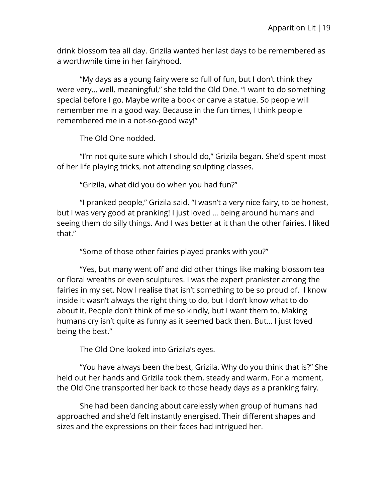drink blossom tea all day. Grizila wanted her last days to be remembered as a worthwhile time in her fairyhood.

"My days as a young fairy were so full of fun, but I don't think they were very… well, meaningful," she told the Old One. "I want to do something special before I go. Maybe write a book or carve a statue. So people will remember me in a good way. Because in the fun times, I think people remembered me in a not-so-good way!"

The Old One nodded.

"I'm not quite sure which I should do," Grizila began. She'd spent most of her life playing tricks, not attending sculpting classes.

"Grizila, what did you do when you had fun?"

"I pranked people," Grizila said. "I wasn't a very nice fairy, to be honest, but I was very good at pranking! I just loved … being around humans and seeing them do silly things. And I was better at it than the other fairies. I liked that."

"Some of those other fairies played pranks with you?"

"Yes, but many went off and did other things like making blossom tea or floral wreaths or even sculptures. I was the expert prankster among the fairies in my set. Now I realise that isn't something to be so proud of. I know inside it wasn't always the right thing to do, but I don't know what to do about it. People don't think of me so kindly, but I want them to. Making humans cry isn't quite as funny as it seemed back then. But… I just loved being the best."

The Old One looked into Grizila's eyes.

"You have always been the best, Grizila. Why do you think that is?" She held out her hands and Grizila took them, steady and warm. For a moment, the Old One transported her back to those heady days as a pranking fairy.

She had been dancing about carelessly when group of humans had approached and she'd felt instantly energised. Their different shapes and sizes and the expressions on their faces had intrigued her.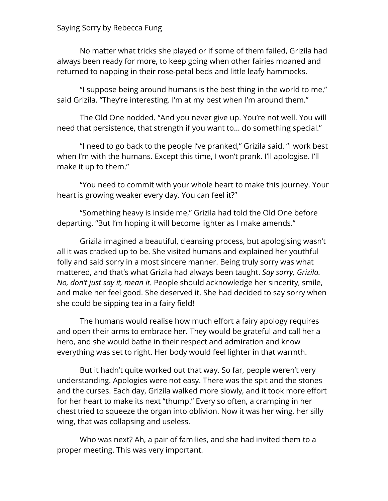No matter what tricks she played or if some of them failed, Grizila had always been ready for more, to keep going when other fairies moaned and returned to napping in their rose-petal beds and little leafy hammocks.

"I suppose being around humans is the best thing in the world to me," said Grizila. "They're interesting. I'm at my best when I'm around them."

The Old One nodded. "And you never give up. You're not well. You will need that persistence, that strength if you want to… do something special."

"I need to go back to the people I've pranked," Grizila said. "I work best when I'm with the humans. Except this time, I won't prank. I'll apologise. I'll make it up to them."

"You need to commit with your whole heart to make this journey. Your heart is growing weaker every day. You can feel it?"

"Something heavy is inside me," Grizila had told the Old One before departing. "But I'm hoping it will become lighter as I make amends."

Grizila imagined a beautiful, cleansing process, but apologising wasn't all it was cracked up to be. She visited humans and explained her youthful folly and said sorry in a most sincere manner. Being truly sorry was what mattered, and that's what Grizila had always been taught. *Say sorry, Grizila. No, don't just say it, mean it*. People should acknowledge her sincerity, smile, and make her feel good. She deserved it. She had decided to say sorry when she could be sipping tea in a fairy field!

The humans would realise how much effort a fairy apology requires and open their arms to embrace her. They would be grateful and call her a hero, and she would bathe in their respect and admiration and know everything was set to right. Her body would feel lighter in that warmth.

But it hadn't quite worked out that way. So far, people weren't very understanding. Apologies were not easy. There was the spit and the stones and the curses. Each day, Grizila walked more slowly, and it took more effort for her heart to make its next "thump." Every so often, a cramping in her chest tried to squeeze the organ into oblivion. Now it was her wing, her silly wing, that was collapsing and useless.

Who was next? Ah, a pair of families, and she had invited them to a proper meeting. This was very important.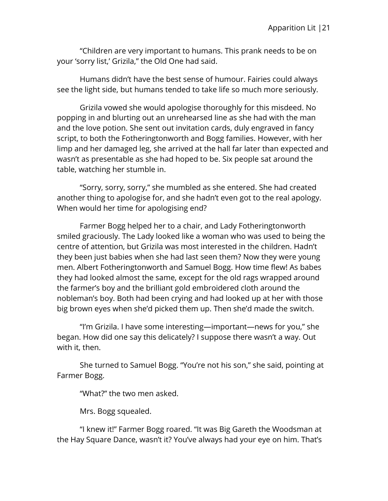"Children are very important to humans. This prank needs to be on your 'sorry list,' Grizila," the Old One had said.

Humans didn't have the best sense of humour. Fairies could always see the light side, but humans tended to take life so much more seriously.

Grizila vowed she would apologise thoroughly for this misdeed. No popping in and blurting out an unrehearsed line as she had with the man and the love potion. She sent out invitation cards, duly engraved in fancy script, to both the Fotheringtonworth and Bogg families. However, with her limp and her damaged leg, she arrived at the hall far later than expected and wasn't as presentable as she had hoped to be. Six people sat around the table, watching her stumble in.

"Sorry, sorry, sorry," she mumbled as she entered. She had created another thing to apologise for, and she hadn't even got to the real apology. When would her time for apologising end?

Farmer Bogg helped her to a chair, and Lady Fotheringtonworth smiled graciously. The Lady looked like a woman who was used to being the centre of attention, but Grizila was most interested in the children. Hadn't they been just babies when she had last seen them? Now they were young men. Albert Fotheringtonworth and Samuel Bogg. How time flew! As babes they had looked almost the same, except for the old rags wrapped around the farmer's boy and the brilliant gold embroidered cloth around the nobleman's boy. Both had been crying and had looked up at her with those big brown eyes when she'd picked them up. Then she'd made the switch.

"I'm Grizila. I have some interesting—important—news for you," she began. How did one say this delicately? I suppose there wasn't a way. Out with it, then.

She turned to Samuel Bogg. "You're not his son," she said, pointing at Farmer Bogg.

"What?" the two men asked.

Mrs. Bogg squealed.

"I knew it!" Farmer Bogg roared. "It was Big Gareth the Woodsman at the Hay Square Dance, wasn't it? You've always had your eye on him. That's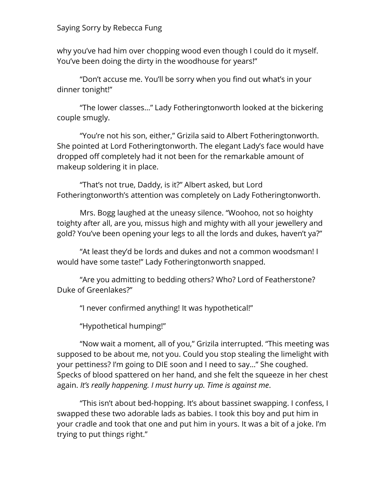why you've had him over chopping wood even though I could do it myself. You've been doing the dirty in the woodhouse for years!"

"Don't accuse me. You'll be sorry when you find out what's in your dinner tonight!"

"The lower classes…" Lady Fotheringtonworth looked at the bickering couple smugly.

"You're not his son, either," Grizila said to Albert Fotheringtonworth. She pointed at Lord Fotheringtonworth. The elegant Lady's face would have dropped off completely had it not been for the remarkable amount of makeup soldering it in place.

"That's not true, Daddy, is it?" Albert asked, but Lord Fotheringtonworth's attention was completely on Lady Fotheringtonworth.

Mrs. Bogg laughed at the uneasy silence. "Woohoo, not so hoighty toighty after all, are you, missus high and mighty with all your jewellery and gold? You've been opening your legs to all the lords and dukes, haven't ya?"

"At least they'd be lords and dukes and not a common woodsman! I would have some taste!" Lady Fotheringtonworth snapped.

"Are you admitting to bedding others? Who? Lord of Featherstone? Duke of Greenlakes?"

"I never confirmed anything! It was hypothetical!"

"Hypothetical humping!"

"Now wait a moment, all of you," Grizila interrupted. "This meeting was supposed to be about me, not you. Could you stop stealing the limelight with your pettiness? I'm going to DIE soon and I need to say…" She coughed. Specks of blood spattered on her hand, and she felt the squeeze in her chest again. *It's really happening. I must hurry up. Time is against me*.

"This isn't about bed-hopping. It's about bassinet swapping. I confess, I swapped these two adorable lads as babies. I took this boy and put him in your cradle and took that one and put him in yours. It was a bit of a joke. I'm trying to put things right."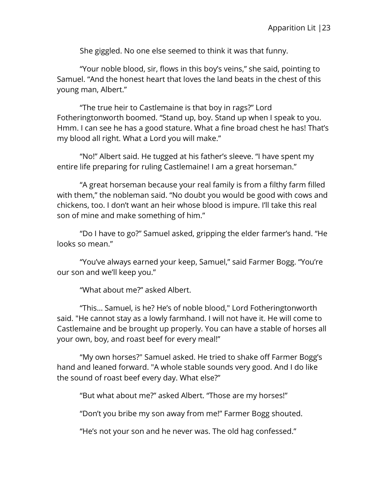She giggled. No one else seemed to think it was that funny.

"Your noble blood, sir, flows in this boy's veins," she said, pointing to Samuel. "And the honest heart that loves the land beats in the chest of this young man, Albert."

"The true heir to Castlemaine is that boy in rags?" Lord Fotheringtonworth boomed. "Stand up, boy. Stand up when I speak to you. Hmm. I can see he has a good stature. What a fine broad chest he has! That's my blood all right. What a Lord you will make."

"No!" Albert said. He tugged at his father's sleeve. "I have spent my entire life preparing for ruling Castlemaine! I am a great horseman."

"A great horseman because your real family is from a filthy farm filled with them," the nobleman said. "No doubt you would be good with cows and chickens, too. I don't want an heir whose blood is impure. I'll take this real son of mine and make something of him."

"Do I have to go?" Samuel asked, gripping the elder farmer's hand. "He looks so mean."

"You've always earned your keep, Samuel," said Farmer Bogg. "You're our son and we'll keep you."

"What about me?" asked Albert.

"This… Samuel, is he? He's of noble blood," Lord Fotheringtonworth said. "He cannot stay as a lowly farmhand. I will not have it. He will come to Castlemaine and be brought up properly. You can have a stable of horses all your own, boy, and roast beef for every meal!"

"My own horses?" Samuel asked. He tried to shake off Farmer Bogg's hand and leaned forward. "A whole stable sounds very good. And I do like the sound of roast beef every day. What else?"

"But what about me?" asked Albert. "Those are my horses!"

"Don't you bribe my son away from me!" Farmer Bogg shouted.

"He's not your son and he never was. The old hag confessed."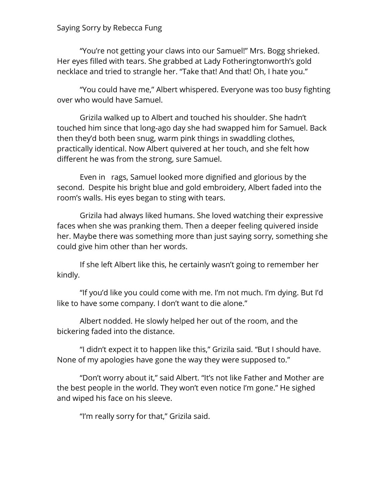"You're not getting your claws into our Samuel!" Mrs. Bogg shrieked. Her eyes filled with tears. She grabbed at Lady Fotheringtonworth's gold necklace and tried to strangle her. "Take that! And that! Oh, I hate you."

"You could have me," Albert whispered. Everyone was too busy fighting over who would have Samuel.

Grizila walked up to Albert and touched his shoulder. She hadn't touched him since that long-ago day she had swapped him for Samuel. Back then they'd both been snug, warm pink things in swaddling clothes, practically identical. Now Albert quivered at her touch, and she felt how different he was from the strong, sure Samuel.

Even in rags, Samuel looked more dignified and glorious by the second. Despite his bright blue and gold embroidery, Albert faded into the room's walls. His eyes began to sting with tears.

Grizila had always liked humans. She loved watching their expressive faces when she was pranking them. Then a deeper feeling quivered inside her. Maybe there was something more than just saying sorry, something she could give him other than her words.

If she left Albert like this, he certainly wasn't going to remember her kindly.

"If you'd like you could come with me. I'm not much. I'm dying. But I'd like to have some company. I don't want to die alone."

Albert nodded. He slowly helped her out of the room, and the bickering faded into the distance.

"I didn't expect it to happen like this," Grizila said. "But I should have. None of my apologies have gone the way they were supposed to."

"Don't worry about it," said Albert. "It's not like Father and Mother are the best people in the world. They won't even notice I'm gone." He sighed and wiped his face on his sleeve.

"I'm really sorry for that," Grizila said.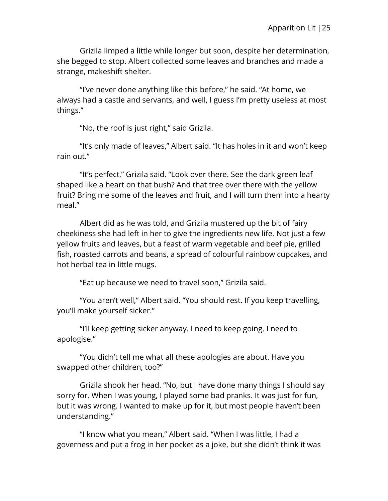Grizila limped a little while longer but soon, despite her determination, she begged to stop. Albert collected some leaves and branches and made a strange, makeshift shelter.

"I've never done anything like this before," he said. "At home, we always had a castle and servants, and well, I guess I'm pretty useless at most things."

"No, the roof is just right," said Grizila.

"It's only made of leaves," Albert said. "It has holes in it and won't keep rain out."

"It's perfect," Grizila said. "Look over there. See the dark green leaf shaped like a heart on that bush? And that tree over there with the yellow fruit? Bring me some of the leaves and fruit, and I will turn them into a hearty meal."

Albert did as he was told, and Grizila mustered up the bit of fairy cheekiness she had left in her to give the ingredients new life. Not just a few yellow fruits and leaves, but a feast of warm vegetable and beef pie, grilled fish, roasted carrots and beans, a spread of colourful rainbow cupcakes, and hot herbal tea in little mugs.

"Eat up because we need to travel soon," Grizila said.

"You aren't well," Albert said. "You should rest. If you keep travelling, you'll make yourself sicker."

"I'll keep getting sicker anyway. I need to keep going. I need to apologise."

"You didn't tell me what all these apologies are about. Have you swapped other children, too?"

Grizila shook her head. "No, but I have done many things I should say sorry for. When I was young, I played some bad pranks. It was just for fun, but it was wrong. I wanted to make up for it, but most people haven't been understanding."

"I know what you mean," Albert said. "When I was little, I had a governess and put a frog in her pocket as a joke, but she didn't think it was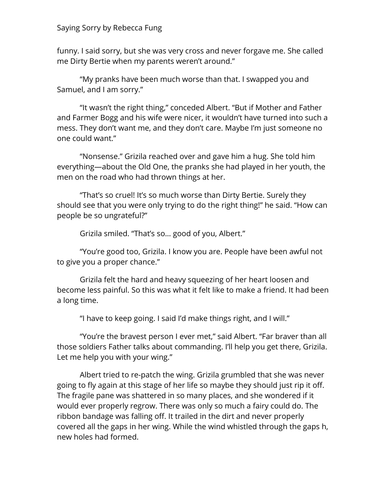funny. I said sorry, but she was very cross and never forgave me. She called me Dirty Bertie when my parents weren't around."

"My pranks have been much worse than that. I swapped you and Samuel, and I am sorry."

"It wasn't the right thing," conceded Albert. "But if Mother and Father and Farmer Bogg and his wife were nicer, it wouldn't have turned into such a mess. They don't want me, and they don't care. Maybe I'm just someone no one could want."

"Nonsense." Grizila reached over and gave him a hug. She told him everything—about the Old One, the pranks she had played in her youth, the men on the road who had thrown things at her.

"That's so cruel! It's so much worse than Dirty Bertie. Surely they should see that you were only trying to do the right thing!" he said. "How can people be so ungrateful?"

Grizila smiled. "That's so… good of you, Albert."

"You're good too, Grizila. I know you are. People have been awful not to give you a proper chance."

Grizila felt the hard and heavy squeezing of her heart loosen and become less painful. So this was what it felt like to make a friend. It had been a long time.

"I have to keep going. I said I'd make things right, and I will."

"You're the bravest person I ever met," said Albert. "Far braver than all those soldiers Father talks about commanding. I'll help you get there, Grizila. Let me help you with your wing."

Albert tried to re-patch the wing. Grizila grumbled that she was never going to fly again at this stage of her life so maybe they should just rip it off. The fragile pane was shattered in so many places, and she wondered if it would ever properly regrow. There was only so much a fairy could do. The ribbon bandage was falling off. It trailed in the dirt and never properly covered all the gaps in her wing. While the wind whistled through the gaps h, new holes had formed.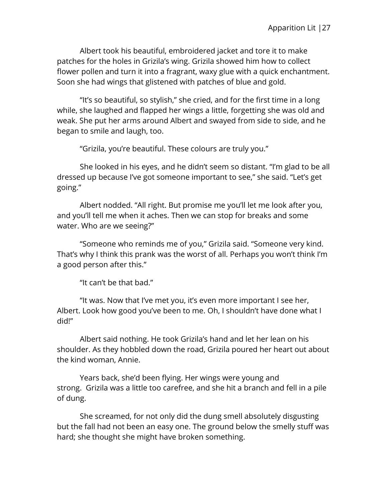Albert took his beautiful, embroidered jacket and tore it to make patches for the holes in Grizila's wing. Grizila showed him how to collect flower pollen and turn it into a fragrant, waxy glue with a quick enchantment. Soon she had wings that glistened with patches of blue and gold.

"It's so beautiful, so stylish," she cried, and for the first time in a long while, she laughed and flapped her wings a little, forgetting she was old and weak. She put her arms around Albert and swayed from side to side, and he began to smile and laugh, too.

"Grizila, you're beautiful. These colours are truly you."

She looked in his eyes, and he didn't seem so distant. "I'm glad to be all dressed up because I've got someone important to see," she said. "Let's get going."

Albert nodded. "All right. But promise me you'll let me look after you, and you'll tell me when it aches. Then we can stop for breaks and some water. Who are we seeing?"

"Someone who reminds me of you," Grizila said. "Someone very kind. That's why I think this prank was the worst of all. Perhaps you won't think I'm a good person after this."

"It can't be that bad."

"It was. Now that I've met you, it's even more important I see her, Albert. Look how good you've been to me. Oh, I shouldn't have done what I did!"

Albert said nothing. He took Grizila's hand and let her lean on his shoulder. As they hobbled down the road, Grizila poured her heart out about the kind woman, Annie.

Years back, she'd been flying. Her wings were young and strong. Grizila was a little too carefree, and she hit a branch and fell in a pile of dung.

She screamed, for not only did the dung smell absolutely disgusting but the fall had not been an easy one. The ground below the smelly stuff was hard; she thought she might have broken something.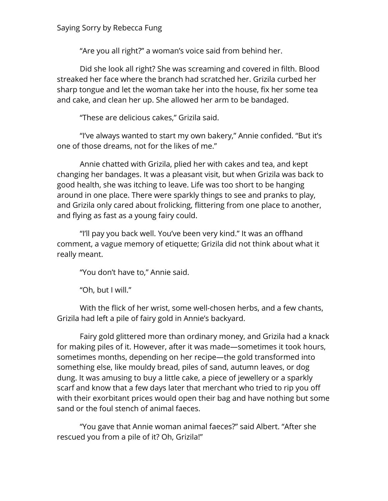"Are you all right?" a woman's voice said from behind her.

Did she look all right? She was screaming and covered in filth. Blood streaked her face where the branch had scratched her. Grizila curbed her sharp tongue and let the woman take her into the house, fix her some tea and cake, and clean her up. She allowed her arm to be bandaged.

"These are delicious cakes," Grizila said.

"I've always wanted to start my own bakery," Annie confided. "But it's one of those dreams, not for the likes of me."

Annie chatted with Grizila, plied her with cakes and tea, and kept changing her bandages. It was a pleasant visit, but when Grizila was back to good health, she was itching to leave. Life was too short to be hanging around in one place. There were sparkly things to see and pranks to play, and Grizila only cared about frolicking, flittering from one place to another, and flying as fast as a young fairy could.

"I'll pay you back well. You've been very kind." It was an offhand comment, a vague memory of etiquette; Grizila did not think about what it really meant.

"You don't have to," Annie said.

"Oh, but I will."

With the flick of her wrist, some well-chosen herbs, and a few chants, Grizila had left a pile of fairy gold in Annie's backyard.

Fairy gold glittered more than ordinary money, and Grizila had a knack for making piles of it. However, after it was made—sometimes it took hours, sometimes months, depending on her recipe—the gold transformed into something else, like mouldy bread, piles of sand, autumn leaves, or dog dung. It was amusing to buy a little cake, a piece of jewellery or a sparkly scarf and know that a few days later that merchant who tried to rip you off with their exorbitant prices would open their bag and have nothing but some sand or the foul stench of animal faeces.

"You gave that Annie woman animal faeces?" said Albert. "After she rescued you from a pile of it? Oh, Grizila!"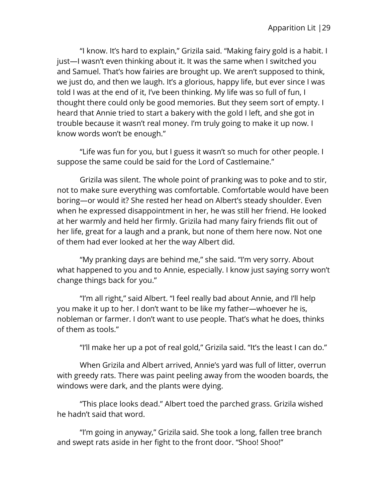"I know. It's hard to explain," Grizila said. "Making fairy gold is a habit. I just—I wasn't even thinking about it. It was the same when I switched you and Samuel. That's how fairies are brought up. We aren't supposed to think, we just do, and then we laugh. It's a glorious, happy life, but ever since I was told I was at the end of it, I've been thinking. My life was so full of fun, I thought there could only be good memories. But they seem sort of empty. I heard that Annie tried to start a bakery with the gold I left, and she got in trouble because it wasn't real money. I'm truly going to make it up now. I know words won't be enough."

"Life was fun for you, but I guess it wasn't so much for other people. I suppose the same could be said for the Lord of Castlemaine."

Grizila was silent. The whole point of pranking was to poke and to stir, not to make sure everything was comfortable. Comfortable would have been boring—or would it? She rested her head on Albert's steady shoulder. Even when he expressed disappointment in her, he was still her friend. He looked at her warmly and held her firmly. Grizila had many fairy friends flit out of her life, great for a laugh and a prank, but none of them here now. Not one of them had ever looked at her the way Albert did.

"My pranking days are behind me," she said. "I'm very sorry. About what happened to you and to Annie, especially. I know just saying sorry won't change things back for you."

"I'm all right," said Albert. "I feel really bad about Annie, and I'll help you make it up to her. I don't want to be like my father—whoever he is, nobleman or farmer. I don't want to use people. That's what he does, thinks of them as tools."

"I'll make her up a pot of real gold," Grizila said. "It's the least I can do."

When Grizila and Albert arrived, Annie's yard was full of litter, overrun with greedy rats. There was paint peeling away from the wooden boards, the windows were dark, and the plants were dying.

"This place looks dead." Albert toed the parched grass. Grizila wished he hadn't said that word.

"I'm going in anyway," Grizila said. She took a long, fallen tree branch and swept rats aside in her fight to the front door. "Shoo! Shoo!"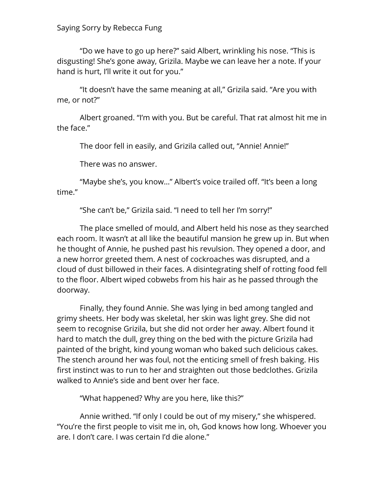"Do we have to go up here?" said Albert, wrinkling his nose. "This is disgusting! She's gone away, Grizila. Maybe we can leave her a note. If your hand is hurt, I'll write it out for you."

"It doesn't have the same meaning at all," Grizila said. "Are you with me, or not?"

Albert groaned. "I'm with you. But be careful. That rat almost hit me in the face."

The door fell in easily, and Grizila called out, "Annie! Annie!"

There was no answer.

"Maybe she's, you know…" Albert's voice trailed off. "It's been a long time."

"She can't be," Grizila said. "I need to tell her I'm sorry!"

The place smelled of mould, and Albert held his nose as they searched each room. It wasn't at all like the beautiful mansion he grew up in. But when he thought of Annie, he pushed past his revulsion. They opened a door, and a new horror greeted them. A nest of cockroaches was disrupted, and a cloud of dust billowed in their faces. A disintegrating shelf of rotting food fell to the floor. Albert wiped cobwebs from his hair as he passed through the doorway.

Finally, they found Annie. She was lying in bed among tangled and grimy sheets. Her body was skeletal, her skin was light grey. She did not seem to recognise Grizila, but she did not order her away. Albert found it hard to match the dull, grey thing on the bed with the picture Grizila had painted of the bright, kind young woman who baked such delicious cakes. The stench around her was foul, not the enticing smell of fresh baking. His first instinct was to run to her and straighten out those bedclothes. Grizila walked to Annie's side and bent over her face.

"What happened? Why are you here, like this?"

Annie writhed. "If only I could be out of my misery," she whispered. "You're the first people to visit me in, oh, God knows how long. Whoever you are. I don't care. I was certain I'd die alone."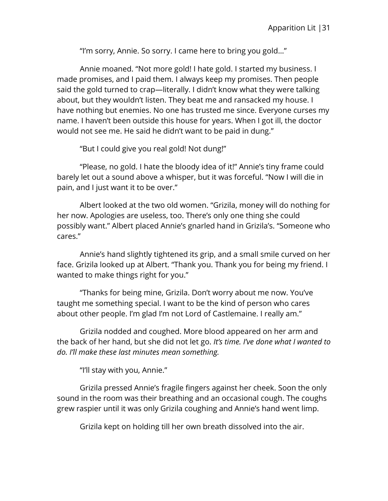"I'm sorry, Annie. So sorry. I came here to bring you gold…"

Annie moaned. "Not more gold! I hate gold. I started my business. I made promises, and I paid them. I always keep my promises. Then people said the gold turned to crap—literally. I didn't know what they were talking about, but they wouldn't listen. They beat me and ransacked my house. I have nothing but enemies. No one has trusted me since. Everyone curses my name. I haven't been outside this house for years. When I got ill, the doctor would not see me. He said he didn't want to be paid in dung."

"But I could give you real gold! Not dung!"

"Please, no gold. I hate the bloody idea of it!" Annie's tiny frame could barely let out a sound above a whisper, but it was forceful. "Now I will die in pain, and I just want it to be over."

Albert looked at the two old women. "Grizila, money will do nothing for her now. Apologies are useless, too. There's only one thing she could possibly want." Albert placed Annie's gnarled hand in Grizila's. "Someone who cares."

Annie's hand slightly tightened its grip, and a small smile curved on her face. Grizila looked up at Albert. "Thank you. Thank you for being my friend. I wanted to make things right for you."

"Thanks for being mine, Grizila. Don't worry about me now. You've taught me something special. I want to be the kind of person who cares about other people. I'm glad I'm not Lord of Castlemaine. I really am."

Grizila nodded and coughed. More blood appeared on her arm and the back of her hand, but she did not let go. *It's time. I've done what I wanted to do. I'll make these last minutes mean something.*

"I'll stay with you, Annie."

Grizila pressed Annie's fragile fingers against her cheek. Soon the only sound in the room was their breathing and an occasional cough. The coughs grew raspier until it was only Grizila coughing and Annie's hand went limp.

Grizila kept on holding till her own breath dissolved into the air.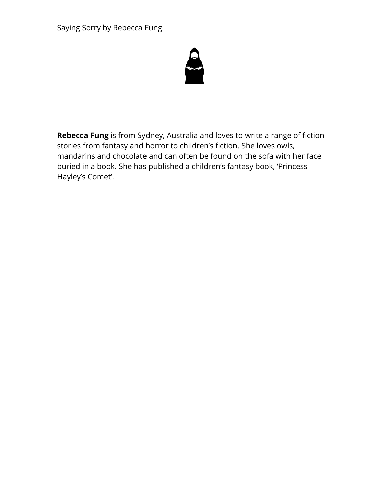

**Rebecca Fung** is from Sydney, Australia and loves to write a range of fiction stories from fantasy and horror to children's fiction. She loves owls, mandarins and chocolate and can often be found on the sofa with her face buried in a book. She has published a children's fantasy book, 'Princess Hayley's Comet'.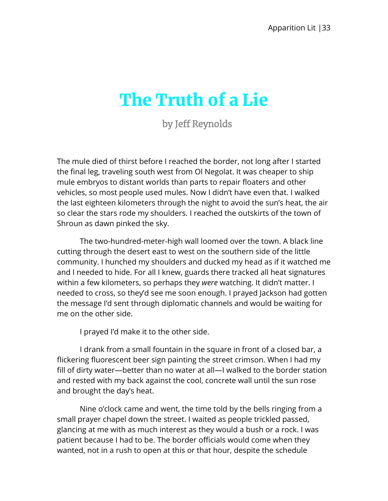## <span id="page-34-0"></span>The Truth of a Lie

by Jeff Reynolds

The mule died of thirst before I reached the border, not long after I started the final leg, traveling south west from Ol Negolat. It was cheaper to ship mule embryos to distant worlds than parts to repair floaters and other vehicles, so most people used mules. Now I didn't have even that. I walked the last eighteen kilometers through the night to avoid the sun's heat, the air so clear the stars rode my shoulders. I reached the outskirts of the town of Shroun as dawn pinked the sky.

The two-hundred-meter-high wall loomed over the town. A black line cutting through the desert east to west on the southern side of the little community. I hunched my shoulders and ducked my head as if it watched me and I needed to hide. For all I knew, guards there tracked all heat signatures within a few kilometers, so perhaps they *were* watching. It didn't matter. I needed to cross, so they'd see me soon enough. I prayed Jackson had gotten the message I'd sent through diplomatic channels and would be waiting for me on the other side.

I prayed I'd make it to the other side.

I drank from a small fountain in the square in front of a closed bar, a flickering fluorescent beer sign painting the street crimson. When I had my fill of dirty water—better than no water at all—I walked to the border station and rested with my back against the cool, concrete wall until the sun rose and brought the day's heat.

Nine o'clock came and went, the time told by the bells ringing from a small prayer chapel down the street. I waited as people trickled passed, glancing at me with as much interest as they would a bush or a rock. I was patient because I had to be. The border officials would come when they wanted, not in a rush to open at this or that hour, despite the schedule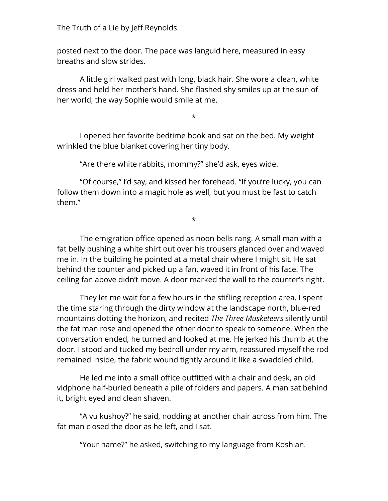posted next to the door. The pace was languid here, measured in easy breaths and slow strides.

A little girl walked past with long, black hair. She wore a clean, white dress and held her mother's hand. She flashed shy smiles up at the sun of her world, the way Sophie would smile at me.

\*

I opened her favorite bedtime book and sat on the bed. My weight wrinkled the blue blanket covering her tiny body.

"Are there white rabbits, mommy?" she'd ask, eyes wide.

"Of course," I'd say, and kissed her forehead. "If you're lucky, you can follow them down into a magic hole as well, but you must be fast to catch them."

\*

The emigration office opened as noon bells rang. A small man with a fat belly pushing a white shirt out over his trousers glanced over and waved me in. In the building he pointed at a metal chair where I might sit. He sat behind the counter and picked up a fan, waved it in front of his face. The ceiling fan above didn't move. A door marked the wall to the counter's right.

They let me wait for a few hours in the stifling reception area. I spent the time staring through the dirty window at the landscape north, blue-red mountains dotting the horizon, and recited *The Three Musketeers* silently until the fat man rose and opened the other door to speak to someone. When the conversation ended, he turned and looked at me. He jerked his thumb at the door. I stood and tucked my bedroll under my arm, reassured myself the rod remained inside, the fabric wound tightly around it like a swaddled child.

He led me into a small office outfitted with a chair and desk, an old vidphone half-buried beneath a pile of folders and papers. A man sat behind it, bright eyed and clean shaven.

"A vu kushoy?" he said, nodding at another chair across from him. The fat man closed the door as he left, and I sat.

"Your name?" he asked, switching to my language from Koshian.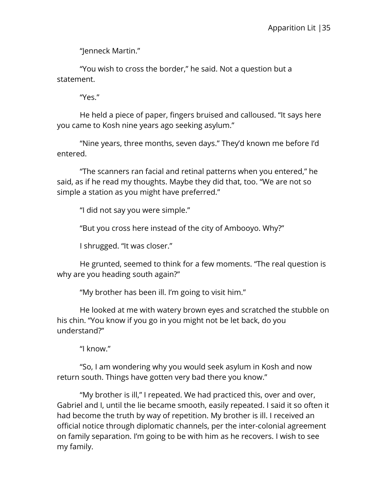"Jenneck Martin."

"You wish to cross the border," he said. Not a question but a statement.

"Yes."

He held a piece of paper, fingers bruised and calloused. "It says here you came to Kosh nine years ago seeking asylum."

"Nine years, three months, seven days." They'd known me before I'd entered.

"The scanners ran facial and retinal patterns when you entered," he said, as if he read my thoughts. Maybe they did that, too. "We are not so simple a station as you might have preferred."

"I did not say you were simple."

"But you cross here instead of the city of Ambooyo. Why?"

I shrugged. "It was closer."

He grunted, seemed to think for a few moments. "The real question is why are you heading south again?"

"My brother has been ill. I'm going to visit him."

He looked at me with watery brown eyes and scratched the stubble on his chin. "You know if you go in you might not be let back, do you understand?"

"I know."

"So, I am wondering why you would seek asylum in Kosh and now return south. Things have gotten very bad there you know."

"My brother is ill," I repeated. We had practiced this, over and over, Gabriel and I, until the lie became smooth, easily repeated. I said it so often it had become the truth by way of repetition. My brother is ill. I received an official notice through diplomatic channels, per the inter-colonial agreement on family separation. I'm going to be with him as he recovers. I wish to see my family.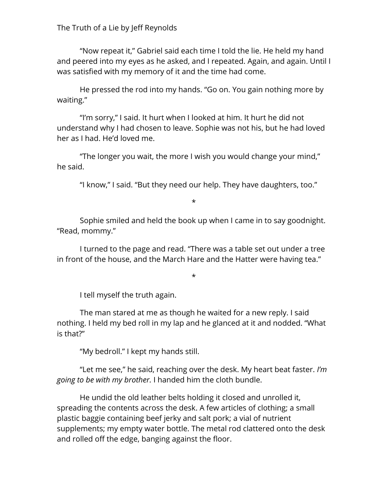## The Truth of a Lie by Jeff Reynolds

"Now repeat it," Gabriel said each time I told the lie. He held my hand and peered into my eyes as he asked, and I repeated. Again, and again. Until I was satisfied with my memory of it and the time had come.

He pressed the rod into my hands. "Go on. You gain nothing more by waiting."

"I'm sorry," I said. It hurt when I looked at him. It hurt he did not understand why I had chosen to leave. Sophie was not his, but he had loved her as I had. He'd loved me.

"The longer you wait, the more I wish you would change your mind," he said.

"I know," I said. "But they need our help. They have daughters, too."

\*

Sophie smiled and held the book up when I came in to say goodnight. "Read, mommy."

I turned to the page and read. "There was a table set out under a tree in front of the house, and the March Hare and the Hatter were having tea."

\*

I tell myself the truth again.

The man stared at me as though he waited for a new reply. I said nothing. I held my bed roll in my lap and he glanced at it and nodded. "What is that?"

"My bedroll." I kept my hands still.

"Let me see," he said, reaching over the desk. My heart beat faster. *I'm going to be with my brother.* I handed him the cloth bundle.

He undid the old leather belts holding it closed and unrolled it, spreading the contents across the desk. A few articles of clothing; a small plastic baggie containing beef jerky and salt pork; a vial of nutrient supplements; my empty water bottle. The metal rod clattered onto the desk and rolled off the edge, banging against the floor.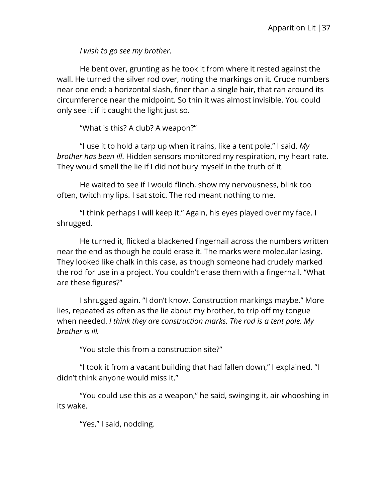*I wish to go see my brother.*

He bent over, grunting as he took it from where it rested against the wall. He turned the silver rod over, noting the markings on it. Crude numbers near one end; a horizontal slash, finer than a single hair, that ran around its circumference near the midpoint. So thin it was almost invisible. You could only see it if it caught the light just so.

"What is this? A club? A weapon?"

"I use it to hold a tarp up when it rains, like a tent pole." I said. *My brother has been ill*. Hidden sensors monitored my respiration, my heart rate. They would smell the lie if I did not bury myself in the truth of it.

He waited to see if I would flinch, show my nervousness, blink too often, twitch my lips. I sat stoic. The rod meant nothing to me.

"I think perhaps I will keep it." Again, his eyes played over my face. I shrugged.

He turned it, flicked a blackened fingernail across the numbers written near the end as though he could erase it. The marks were molecular lasing. They looked like chalk in this case, as though someone had crudely marked the rod for use in a project. You couldn't erase them with a fingernail. "What are these figures?"

I shrugged again. "I don't know. Construction markings maybe." More lies, repeated as often as the lie about my brother, to trip off my tongue when needed. *I think they are construction marks. The rod is a tent pole. My brother is ill.*

"You stole this from a construction site?"

"I took it from a vacant building that had fallen down," I explained. "I didn't think anyone would miss it."

"You could use this as a weapon," he said, swinging it, air whooshing in its wake.

"Yes," I said, nodding.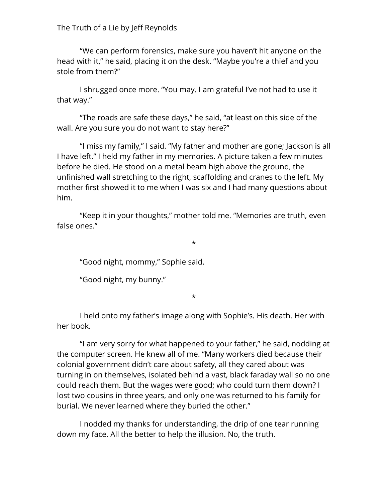The Truth of a Lie by Jeff Reynolds

"We can perform forensics, make sure you haven't hit anyone on the head with it," he said, placing it on the desk. "Maybe you're a thief and you stole from them?"

I shrugged once more. "You may. I am grateful I've not had to use it that way."

"The roads are safe these days," he said, "at least on this side of the wall. Are you sure you do not want to stay here?"

"I miss my family," I said. "My father and mother are gone; Jackson is all I have left." I held my father in my memories. A picture taken a few minutes before he died. He stood on a metal beam high above the ground, the unfinished wall stretching to the right, scaffolding and cranes to the left. My mother first showed it to me when I was six and I had many questions about him.

"Keep it in your thoughts," mother told me. "Memories are truth, even false ones."

\*

"Good night, mommy," Sophie said.

"Good night, my bunny."

\*

I held onto my father's image along with Sophie's. His death. Her with her book.

"I am very sorry for what happened to your father," he said, nodding at the computer screen. He knew all of me. "Many workers died because their colonial government didn't care about safety, all they cared about was turning in on themselves, isolated behind a vast, black faraday wall so no one could reach them. But the wages were good; who could turn them down? I lost two cousins in three years, and only one was returned to his family for burial. We never learned where they buried the other."

I nodded my thanks for understanding, the drip of one tear running down my face. All the better to help the illusion. No, the truth.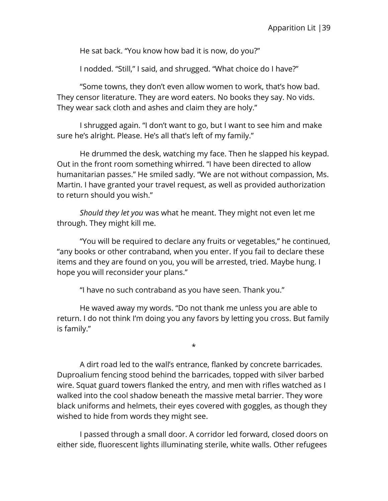He sat back. "You know how bad it is now, do you?"

I nodded. "Still," I said, and shrugged. "What choice do I have?"

"Some towns, they don't even allow women to work, that's how bad. They censor literature. They are word eaters. No books they say. No vids. They wear sack cloth and ashes and claim they are holy."

I shrugged again. "I don't want to go, but I want to see him and make sure he's alright. Please. He's all that's left of my family."

He drummed the desk, watching my face. Then he slapped his keypad. Out in the front room something whirred. "I have been directed to allow humanitarian passes." He smiled sadly. "We are not without compassion, Ms. Martin. I have granted your travel request, as well as provided authorization to return should you wish."

*Should they let you* was what he meant. They might not even let me through. They might kill me.

"You will be required to declare any fruits or vegetables," he continued, "any books or other contraband, when you enter. If you fail to declare these items and they are found on you, you will be arrested, tried. Maybe hung. I hope you will reconsider your plans."

"I have no such contraband as you have seen. Thank you."

He waved away my words. "Do not thank me unless you are able to return. I do not think I'm doing you any favors by letting you cross. But family is family."

\*

A dirt road led to the wall's entrance, flanked by concrete barricades. Duproalium fencing stood behind the barricades, topped with silver barbed wire. Squat guard towers flanked the entry, and men with rifles watched as I walked into the cool shadow beneath the massive metal barrier. They wore black uniforms and helmets, their eyes covered with goggles, as though they wished to hide from words they might see.

I passed through a small door. A corridor led forward, closed doors on either side, fluorescent lights illuminating sterile, white walls. Other refugees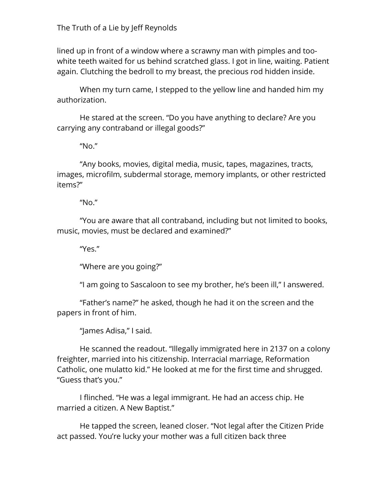The Truth of a Lie by Jeff Reynolds

lined up in front of a window where a scrawny man with pimples and toowhite teeth waited for us behind scratched glass. I got in line, waiting. Patient again. Clutching the bedroll to my breast, the precious rod hidden inside.

When my turn came, I stepped to the yellow line and handed him my authorization.

He stared at the screen. "Do you have anything to declare? Are you carrying any contraband or illegal goods?"

"No."

"Any books, movies, digital media, music, tapes, magazines, tracts, images, microfilm, subdermal storage, memory implants, or other restricted items?"

"No."

"You are aware that all contraband, including but not limited to books, music, movies, must be declared and examined?"

"Yes."

"Where are you going?"

"I am going to Sascaloon to see my brother, he's been ill," I answered.

"Father's name?" he asked, though he had it on the screen and the papers in front of him.

"James Adisa," I said.

He scanned the readout. "Illegally immigrated here in 2137 on a colony freighter, married into his citizenship. Interracial marriage, Reformation Catholic, one mulatto kid." He looked at me for the first time and shrugged. "Guess that's you."

I flinched. "He was a legal immigrant. He had an access chip. He married a citizen. A New Baptist."

He tapped the screen, leaned closer. "Not legal after the Citizen Pride act passed. You're lucky your mother was a full citizen back three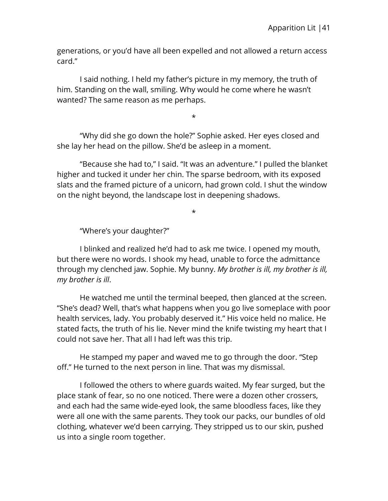generations, or you'd have all been expelled and not allowed a return access card."

I said nothing. I held my father's picture in my memory, the truth of him. Standing on the wall, smiling. Why would he come where he wasn't wanted? The same reason as me perhaps.

\*

"Why did she go down the hole?" Sophie asked. Her eyes closed and she lay her head on the pillow. She'd be asleep in a moment.

"Because she had to," I said. "It was an adventure." I pulled the blanket higher and tucked it under her chin. The sparse bedroom, with its exposed slats and the framed picture of a unicorn, had grown cold. I shut the window on the night beyond, the landscape lost in deepening shadows.

\*

"Where's your daughter?"

I blinked and realized he'd had to ask me twice. I opened my mouth, but there were no words. I shook my head, unable to force the admittance through my clenched jaw. Sophie. My bunny. *My brother is ill, my brother is ill, my brother is ill*.

He watched me until the terminal beeped, then glanced at the screen. "She's dead? Well, that's what happens when you go live someplace with poor health services, lady. You probably deserved it." His voice held no malice. He stated facts, the truth of his lie. Never mind the knife twisting my heart that I could not save her. That all I had left was this trip.

He stamped my paper and waved me to go through the door. "Step off." He turned to the next person in line. That was my dismissal.

I followed the others to where guards waited. My fear surged, but the place stank of fear, so no one noticed. There were a dozen other crossers, and each had the same wide-eyed look, the same bloodless faces, like they were all one with the same parents. They took our packs, our bundles of old clothing, whatever we'd been carrying. They stripped us to our skin, pushed us into a single room together.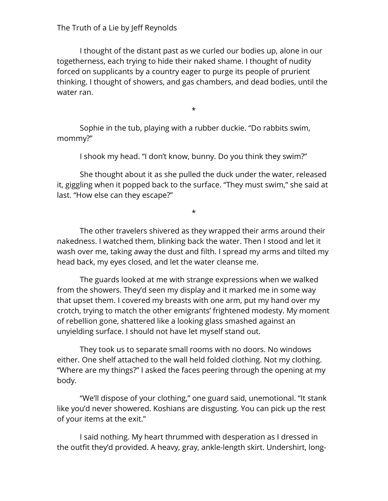## The Truth of a Lie by Jeff Reynolds

I thought of the distant past as we curled our bodies up, alone in our togetherness, each trying to hide their naked shame. I thought of nudity forced on supplicants by a country eager to purge its people of prurient thinking. I thought of showers, and gas chambers, and dead bodies, until the water ran.

\*

Sophie in the tub, playing with a rubber duckie. "Do rabbits swim, mommy?"

I shook my head. "I don't know, bunny. Do you think they swim?"

She thought about it as she pulled the duck under the water, released it, giggling when it popped back to the surface. "They must swim," she said at last. "How else can they escape?"

\*

The other travelers shivered as they wrapped their arms around their nakedness. I watched them, blinking back the water. Then I stood and let it wash over me, taking away the dust and filth. I spread my arms and tilted my head back, my eyes closed, and let the water cleanse me.

The guards looked at me with strange expressions when we walked from the showers. They'd seen my display and it marked me in some way that upset them. I covered my breasts with one arm, put my hand over my crotch, trying to match the other emigrants' frightened modesty. My moment of rebellion gone, shattered like a looking glass smashed against an unyielding surface. I should not have let myself stand out.

They took us to separate small rooms with no doors. No windows either. One shelf attached to the wall held folded clothing. Not my clothing. "Where are my things?" I asked the faces peering through the opening at my body.

"We'll dispose of your clothing," one guard said, unemotional. "It stank like you'd never showered. Koshians are disgusting. You can pick up the rest of your items at the exit."

I said nothing. My heart thrummed with desperation as I dressed in the outfit they'd provided. A heavy, gray, ankle-length skirt. Undershirt, long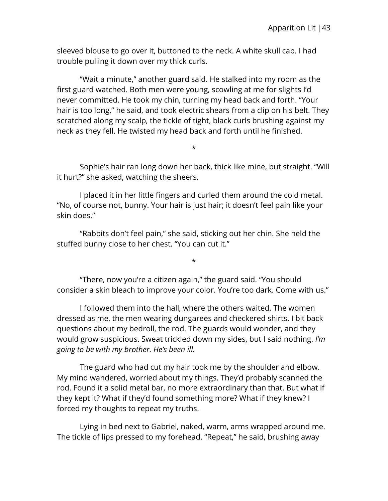sleeved blouse to go over it, buttoned to the neck. A white skull cap. I had trouble pulling it down over my thick curls.

"Wait a minute," another guard said. He stalked into my room as the first guard watched. Both men were young, scowling at me for slights I'd never committed. He took my chin, turning my head back and forth. "Your hair is too long," he said, and took electric shears from a clip on his belt. They scratched along my scalp, the tickle of tight, black curls brushing against my neck as they fell. He twisted my head back and forth until he finished.

Sophie's hair ran long down her back, thick like mine, but straight. "Will it hurt?" she asked, watching the sheers.

\*

I placed it in her little fingers and curled them around the cold metal. "No, of course not, bunny. Your hair is just hair; it doesn't feel pain like your skin does."

"Rabbits don't feel pain," she said, sticking out her chin. She held the stuffed bunny close to her chest. "You can cut it."

"There, now you're a citizen again," the guard said. "You should consider a skin bleach to improve your color. You're too dark. Come with us."

\*

I followed them into the hall, where the others waited. The women dressed as me, the men wearing dungarees and checkered shirts. I bit back questions about my bedroll, the rod. The guards would wonder, and they would grow suspicious. Sweat trickled down my sides, but I said nothing. *I'm going to be with my brother. He's been ill.*

The guard who had cut my hair took me by the shoulder and elbow. My mind wandered, worried about my things. They'd probably scanned the rod. Found it a solid metal bar, no more extraordinary than that. But what if they kept it? What if they'd found something more? What if they knew? I forced my thoughts to repeat my truths.

Lying in bed next to Gabriel, naked, warm, arms wrapped around me. The tickle of lips pressed to my forehead. "Repeat," he said, brushing away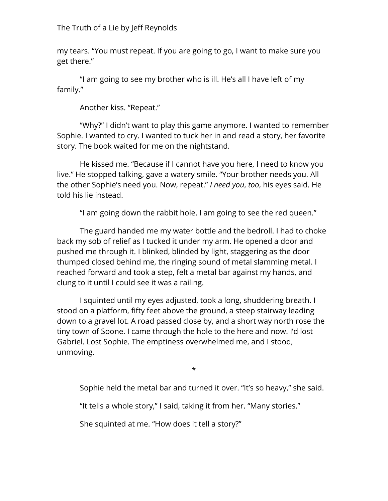## The Truth of a Lie by Jeff Reynolds

my tears. "You must repeat. If you are going to go, I want to make sure you get there."

"I am going to see my brother who is ill. He's all I have left of my family."

Another kiss. "Repeat."

"Why?" I didn't want to play this game anymore. I wanted to remember Sophie. I wanted to cry. I wanted to tuck her in and read a story, her favorite story. The book waited for me on the nightstand.

He kissed me. "Because if I cannot have you here, I need to know you live." He stopped talking, gave a watery smile. "Your brother needs you. All the other Sophie's need you. Now, repeat." *I need you*, *too*, his eyes said. He told his lie instead.

"I am going down the rabbit hole. I am going to see the red queen."

The guard handed me my water bottle and the bedroll. I had to choke back my sob of relief as I tucked it under my arm. He opened a door and pushed me through it. I blinked, blinded by light, staggering as the door thumped closed behind me, the ringing sound of metal slamming metal. I reached forward and took a step, felt a metal bar against my hands, and clung to it until I could see it was a railing.

I squinted until my eyes adjusted, took a long, shuddering breath. I stood on a platform, fifty feet above the ground, a steep stairway leading down to a gravel lot. A road passed close by, and a short way north rose the tiny town of Soone. I came through the hole to the here and now. I'd lost Gabriel. Lost Sophie. The emptiness overwhelmed me, and I stood, unmoving.

\*

Sophie held the metal bar and turned it over. "It's so heavy," she said.

"It tells a whole story," I said, taking it from her. "Many stories."

She squinted at me. "How does it tell a story?"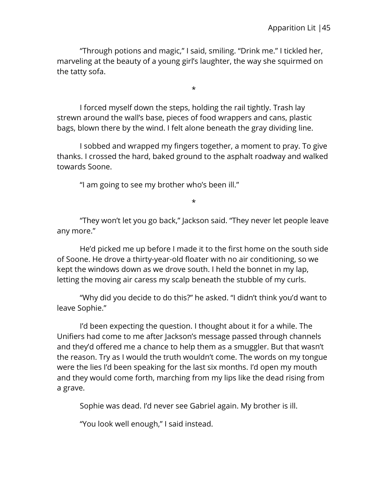"Through potions and magic," I said, smiling. "Drink me." I tickled her, marveling at the beauty of a young girl's laughter, the way she squirmed on the tatty sofa.

\*

I forced myself down the steps, holding the rail tightly. Trash lay strewn around the wall's base, pieces of food wrappers and cans, plastic bags, blown there by the wind. I felt alone beneath the gray dividing line.

I sobbed and wrapped my fingers together, a moment to pray. To give thanks. I crossed the hard, baked ground to the asphalt roadway and walked towards Soone.

"I am going to see my brother who's been ill."

\*

"They won't let you go back," Jackson said. "They never let people leave any more."

He'd picked me up before I made it to the first home on the south side of Soone. He drove a thirty-year-old floater with no air conditioning, so we kept the windows down as we drove south. I held the bonnet in my lap, letting the moving air caress my scalp beneath the stubble of my curls.

"Why did you decide to do this?" he asked. "I didn't think you'd want to leave Sophie."

I'd been expecting the question. I thought about it for a while. The Unifiers had come to me after Jackson's message passed through channels and they'd offered me a chance to help them as a smuggler. But that wasn't the reason. Try as I would the truth wouldn't come. The words on my tongue were the lies I'd been speaking for the last six months. I'd open my mouth and they would come forth, marching from my lips like the dead rising from a grave.

Sophie was dead. I'd never see Gabriel again. My brother is ill.

"You look well enough," I said instead.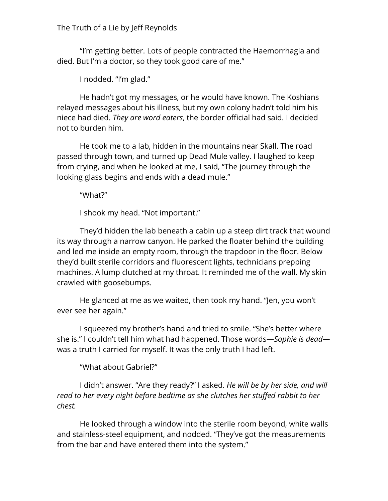The Truth of a Lie by Jeff Reynolds

"I'm getting better. Lots of people contracted the Haemorrhagia and died. But I'm a doctor, so they took good care of me."

I nodded. "I'm glad."

He hadn't got my messages, or he would have known. The Koshians relayed messages about his illness, but my own colony hadn't told him his niece had died. *They are word eaters*, the border official had said. I decided not to burden him.

He took me to a lab, hidden in the mountains near Skall. The road passed through town, and turned up Dead Mule valley. I laughed to keep from crying, and when he looked at me, I said, "The journey through the looking glass begins and ends with a dead mule."

"What?"

I shook my head. "Not important."

They'd hidden the lab beneath a cabin up a steep dirt track that wound its way through a narrow canyon. He parked the floater behind the building and led me inside an empty room, through the trapdoor in the floor. Below they'd built sterile corridors and fluorescent lights, technicians prepping machines. A lump clutched at my throat. It reminded me of the wall. My skin crawled with goosebumps.

He glanced at me as we waited, then took my hand. "Jen, you won't ever see her again."

I squeezed my brother's hand and tried to smile. "She's better where she is." I couldn't tell him what had happened. Those words—*Sophie is dead* was a truth I carried for myself. It was the only truth I had left.

"What about Gabriel?"

I didn't answer. "Are they ready?" I asked. *He will be by her side, and will read to her every night before bedtime as she clutches her stuffed rabbit to her chest.*

He looked through a window into the sterile room beyond, white walls and stainless-steel equipment, and nodded. "They've got the measurements from the bar and have entered them into the system."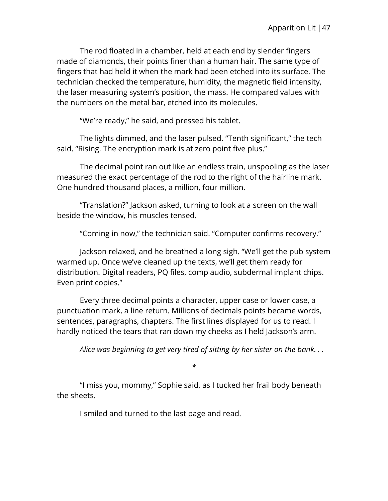The rod floated in a chamber, held at each end by slender fingers made of diamonds, their points finer than a human hair. The same type of fingers that had held it when the mark had been etched into its surface. The technician checked the temperature, humidity, the magnetic field intensity, the laser measuring system's position, the mass. He compared values with the numbers on the metal bar, etched into its molecules.

"We're ready," he said, and pressed his tablet.

The lights dimmed, and the laser pulsed. "Tenth significant," the tech said. "Rising. The encryption mark is at zero point five plus."

The decimal point ran out like an endless train, unspooling as the laser measured the exact percentage of the rod to the right of the hairline mark. One hundred thousand places, a million, four million.

"Translation?" Jackson asked, turning to look at a screen on the wall beside the window, his muscles tensed.

"Coming in now," the technician said. "Computer confirms recovery."

Jackson relaxed, and he breathed a long sigh. "We'll get the pub system warmed up. Once we've cleaned up the texts, we'll get them ready for distribution. Digital readers, PQ files, comp audio, subdermal implant chips. Even print copies."

Every three decimal points a character, upper case or lower case, a punctuation mark, a line return. Millions of decimals points became words, sentences, paragraphs, chapters. The first lines displayed for us to read. I hardly noticed the tears that ran down my cheeks as I held Jackson's arm.

*Alice was beginning to get very tired of sitting by her sister on the bank. . .*

*\**

"I miss you, mommy," Sophie said, as I tucked her frail body beneath the sheets.

I smiled and turned to the last page and read.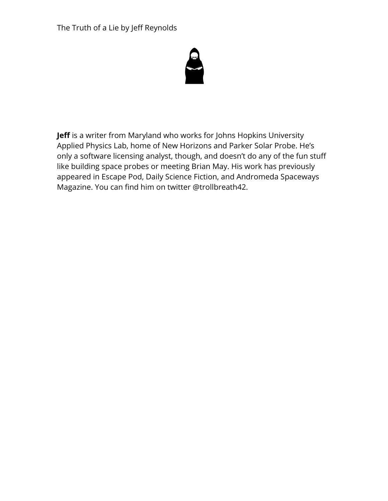The Truth of a Lie by Jeff Reynolds



**Jeff** is a writer from Maryland who works for Johns Hopkins University Applied Physics Lab, home of New Horizons and Parker Solar Probe. He's only a software licensing analyst, though, and doesn't do any of the fun stuff like building space probes or meeting Brian May. His work has previously appeared in Escape Pod, Daily Science Fiction, and Andromeda Spaceways Magazine. You can find him on twitter @trollbreath42.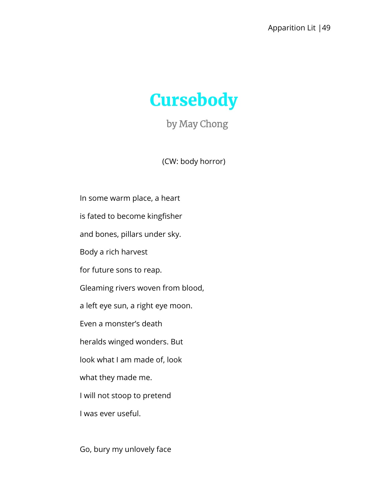

by May Chong

(CW: body horror)

In some warm place, a heart is fated to become kingfisher and bones, pillars under sky. Body a rich harvest for future sons to reap. Gleaming rivers woven from blood, a left eye sun, a right eye moon. Even a monster's death heralds winged wonders. But look what I am made of, look what they made me. I will not stoop to pretend I was ever useful.

Go, bury my unlovely face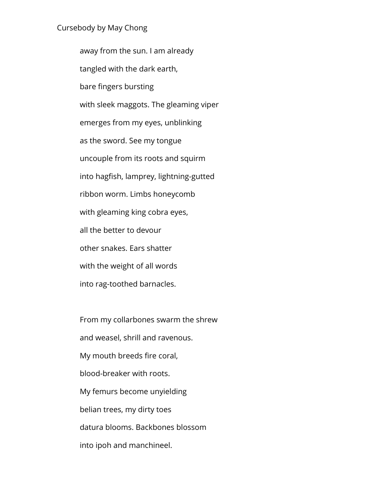#### Cursebody by May Chong

away from the sun. I am already tangled with the dark earth, bare fingers bursting with sleek maggots. The gleaming viper emerges from my eyes, unblinking as the sword. See my tongue uncouple from its roots and squirm into hagfish, lamprey, lightning-gutted ribbon worm. Limbs honeycomb with gleaming king cobra eyes, all the better to devour other snakes. Ears shatter with the weight of all words into rag-toothed barnacles.

From my collarbones swarm the shrew and weasel, shrill and ravenous. My mouth breeds fire coral, blood-breaker with roots. My femurs become unyielding belian trees, my dirty toes datura blooms. Backbones blossom into ipoh and manchineel.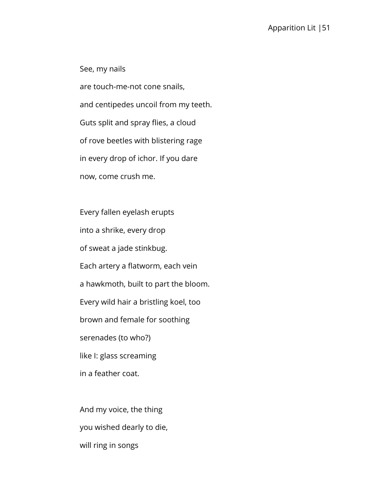See, my nails are touch-me-not cone snails, and centipedes uncoil from my teeth. Guts split and spray flies, a cloud of rove beetles with blistering rage in every drop of ichor. If you dare now, come crush me.

Every fallen eyelash erupts into a shrike, every drop of sweat a jade stinkbug. Each artery a flatworm, each vein a hawkmoth, built to part the bloom. Every wild hair a bristling koel, too brown and female for soothing serenades (to who?) like I: glass screaming in a feather coat.

And my voice, the thing you wished dearly to die, will ring in songs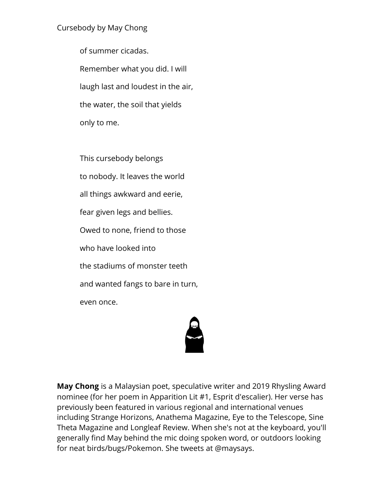## Cursebody by May Chong

of summer cicadas. Remember what you did. I will laugh last and loudest in the air, the water, the soil that yields only to me.

This cursebody belongs to nobody. It leaves the world all things awkward and eerie, fear given legs and bellies. Owed to none, friend to those who have looked into the stadiums of monster teeth and wanted fangs to bare in turn, even once.

**May Chong** is a Malaysian poet, speculative writer and 2019 Rhysling Award nominee (for her poem in Apparition Lit #1, Esprit d'escalier). Her verse has previously been featured in various regional and international venues including Strange Horizons, Anathema Magazine, Eye to the Telescope, Sine Theta Magazine and Longleaf Review. When she's not at the keyboard, you'll generally find May behind the mic doing spoken word, or outdoors looking for neat birds/bugs/Pokemon. She tweets at @maysays.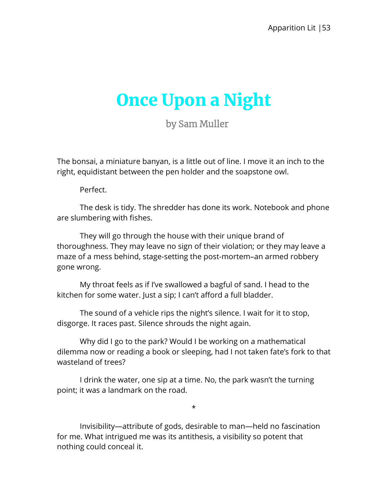# Once Upon a Night

by Sam Muller

The bonsai, a miniature banyan, is a little out of line. I move it an inch to the right, equidistant between the pen holder and the soapstone owl.

Perfect.

The desk is tidy. The shredder has done its work. Notebook and phone are slumbering with fishes.

They will go through the house with their unique brand of thoroughness. They may leave no sign of their violation; or they may leave a maze of a mess behind, stage-setting the post-mortem–an armed robbery gone wrong.

My throat feels as if I've swallowed a bagful of sand. I head to the kitchen for some water. Just a sip; I can't afford a full bladder.

The sound of a vehicle rips the night's silence. I wait for it to stop, disgorge. It races past. Silence shrouds the night again.

Why did I go to the park? Would I be working on a mathematical dilemma now or reading a book or sleeping, had I not taken fate's fork to that wasteland of trees?

I drink the water, one sip at a time. No, the park wasn't the turning point; it was a landmark on the road.

\*

Invisibility—attribute of gods, desirable to man—held no fascination for me. What intrigued me was its antithesis, a visibility so potent that nothing could conceal it.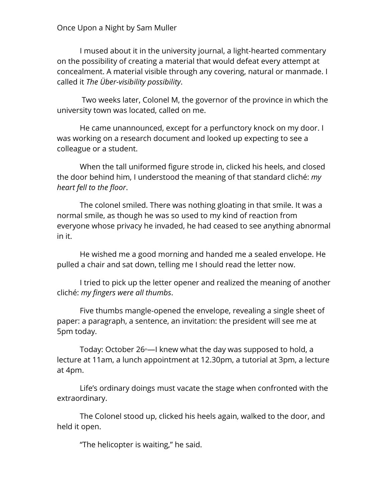#### Once Upon a Night by Sam Muller

I mused about it in the university journal, a light-hearted commentary on the possibility of creating a material that would defeat every attempt at concealment. A material visible through any covering, natural or manmade. I called it *The Über-visibility possibility*.

Two weeks later, Colonel M, the governor of the province in which the university town was located, called on me.

He came unannounced, except for a perfunctory knock on my door. I was working on a research document and looked up expecting to see a colleague or a student.

When the tall uniformed figure strode in, clicked his heels, and closed the door behind him, I understood the meaning of that standard cliché: *my heart fell to the floor*.

The colonel smiled. There was nothing gloating in that smile. It was a normal smile, as though he was so used to my kind of reaction from everyone whose privacy he invaded, he had ceased to see anything abnormal in it.

He wished me a good morning and handed me a sealed envelope. He pulled a chair and sat down, telling me I should read the letter now.

I tried to pick up the letter opener and realized the meaning of another cliché: *my fingers were all thumbs*.

Five thumbs mangle-opened the envelope, revealing a single sheet of paper: a paragraph, a sentence, an invitation: the president will see me at 5pm today.

Today: October 26<sup>th</sup>—I knew what the day was supposed to hold, a lecture at 11am, a lunch appointment at 12.30pm, a tutorial at 3pm, a lecture at 4pm.

Life's ordinary doings must vacate the stage when confronted with the extraordinary.

The Colonel stood up, clicked his heels again, walked to the door, and held it open.

"The helicopter is waiting," he said.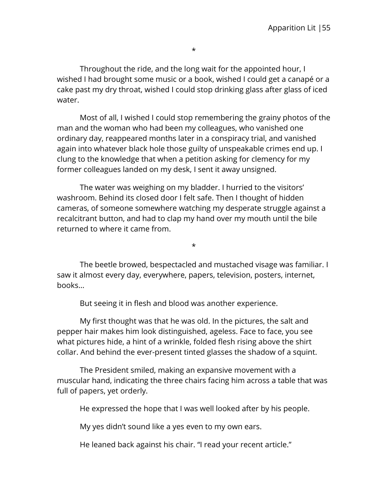\*

Throughout the ride, and the long wait for the appointed hour, I wished I had brought some music or a book, wished I could get a canapé or a cake past my dry throat, wished I could stop drinking glass after glass of iced water.

Most of all, I wished I could stop remembering the grainy photos of the man and the woman who had been my colleagues, who vanished one ordinary day, reappeared months later in a conspiracy trial, and vanished again into whatever black hole those guilty of unspeakable crimes end up. I clung to the knowledge that when a petition asking for clemency for my former colleagues landed on my desk, I sent it away unsigned.

The water was weighing on my bladder. I hurried to the visitors' washroom. Behind its closed door I felt safe. Then I thought of hidden cameras, of someone somewhere watching my desperate struggle against a recalcitrant button, and had to clap my hand over my mouth until the bile returned to where it came from.

The beetle browed, bespectacled and mustached visage was familiar. I saw it almost every day, everywhere, papers, television, posters, internet, books…

\*

But seeing it in flesh and blood was another experience.

My first thought was that he was old. In the pictures, the salt and pepper hair makes him look distinguished, ageless. Face to face, you see what pictures hide, a hint of a wrinkle, folded flesh rising above the shirt collar. And behind the ever-present tinted glasses the shadow of a squint.

The President smiled, making an expansive movement with a muscular hand, indicating the three chairs facing him across a table that was full of papers, yet orderly.

He expressed the hope that I was well looked after by his people.

My yes didn't sound like a yes even to my own ears.

He leaned back against his chair. "I read your recent article."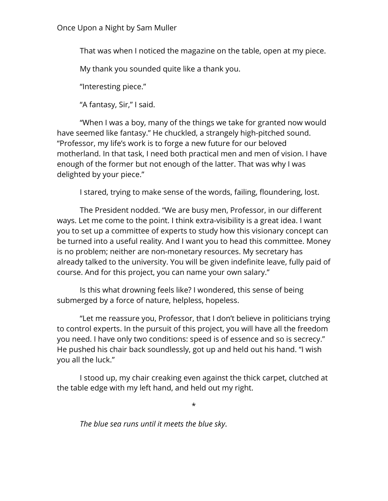Once Upon a Night by Sam Muller

That was when I noticed the magazine on the table, open at my piece.

My thank you sounded quite like a thank you.

"Interesting piece."

"A fantasy, Sir," I said.

"When I was a boy, many of the things we take for granted now would have seemed like fantasy." He chuckled, a strangely high-pitched sound. "Professor, my life's work is to forge a new future for our beloved motherland. In that task, I need both practical men and men of vision. I have enough of the former but not enough of the latter. That was why I was delighted by your piece."

I stared, trying to make sense of the words, failing, floundering, lost.

The President nodded. "We are busy men, Professor, in our different ways. Let me come to the point. I think extra-visibility is a great idea. I want you to set up a committee of experts to study how this visionary concept can be turned into a useful reality. And I want you to head this committee. Money is no problem; neither are non-monetary resources. My secretary has already talked to the university. You will be given indefinite leave, fully paid of course. And for this project, you can name your own salary."

Is this what drowning feels like? I wondered, this sense of being submerged by a force of nature, helpless, hopeless.

"Let me reassure you, Professor, that I don't believe in politicians trying to control experts. In the pursuit of this project, you will have all the freedom you need. I have only two conditions: speed is of essence and so is secrecy." He pushed his chair back soundlessly, got up and held out his hand. "I wish you all the luck."

I stood up, my chair creaking even against the thick carpet, clutched at the table edge with my left hand, and held out my right.

\*

*The blue sea runs until it meets the blue sky*.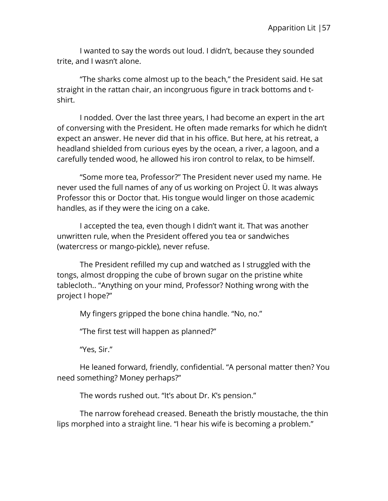I wanted to say the words out loud. I didn't, because they sounded trite, and I wasn't alone.

"The sharks come almost up to the beach," the President said. He sat straight in the rattan chair, an incongruous figure in track bottoms and tshirt.

I nodded. Over the last three years, I had become an expert in the art of conversing with the President. He often made remarks for which he didn't expect an answer. He never did that in his office. But here, at his retreat, a headland shielded from curious eyes by the ocean, a river, a lagoon, and a carefully tended wood, he allowed his iron control to relax, to be himself.

"Some more tea, Professor?" The President never used my name. He never used the full names of any of us working on Project Ü. It was always Professor this or Doctor that. His tongue would linger on those academic handles, as if they were the icing on a cake.

I accepted the tea, even though I didn't want it. That was another unwritten rule, when the President offered you tea or sandwiches (watercress or mango-pickle), never refuse.

The President refilled my cup and watched as I struggled with the tongs, almost dropping the cube of brown sugar on the pristine white tablecloth.. "Anything on your mind, Professor? Nothing wrong with the project I hope?"

My fingers gripped the bone china handle. "No, no."

"The first test will happen as planned?"

"Yes, Sir."

He leaned forward, friendly, confidential. "A personal matter then? You need something? Money perhaps?"

The words rushed out. "It's about Dr. K's pension."

The narrow forehead creased. Beneath the bristly moustache, the thin lips morphed into a straight line. "I hear his wife is becoming a problem."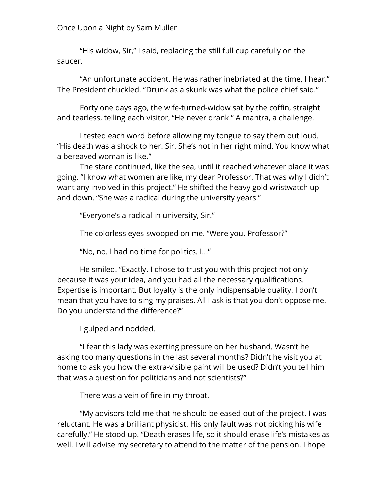## Once Upon a Night by Sam Muller

"His widow, Sir," I said, replacing the still full cup carefully on the saucer.

"An unfortunate accident. He was rather inebriated at the time, I hear." The President chuckled. "Drunk as a skunk was what the police chief said."

Forty one days ago, the wife-turned-widow sat by the coffin, straight and tearless, telling each visitor, "He never drank." A mantra, a challenge.

I tested each word before allowing my tongue to say them out loud. "His death was a shock to her. Sir. She's not in her right mind. You know what a bereaved woman is like."

The stare continued, like the sea, until it reached whatever place it was going. "I know what women are like, my dear Professor. That was why I didn't want any involved in this project." He shifted the heavy gold wristwatch up and down. "She was a radical during the university years."

"Everyone's a radical in university, Sir."

The colorless eyes swooped on me. "Were you, Professor?"

"No, no. I had no time for politics. I..."

He smiled. "Exactly. I chose to trust you with this project not only because it was your idea, and you had all the necessary qualifications. Expertise is important. But loyalty is the only indispensable quality. I don't mean that you have to sing my praises. All I ask is that you don't oppose me. Do you understand the difference?"

I gulped and nodded.

"I fear this lady was exerting pressure on her husband. Wasn't he asking too many questions in the last several months? Didn't he visit you at home to ask you how the extra-visible paint will be used? Didn't you tell him that was a question for politicians and not scientists?"

There was a vein of fire in my throat.

"My advisors told me that he should be eased out of the project. I was reluctant. He was a brilliant physicist. His only fault was not picking his wife carefully." He stood up. "Death erases life, so it should erase life's mistakes as well. I will advise my secretary to attend to the matter of the pension. I hope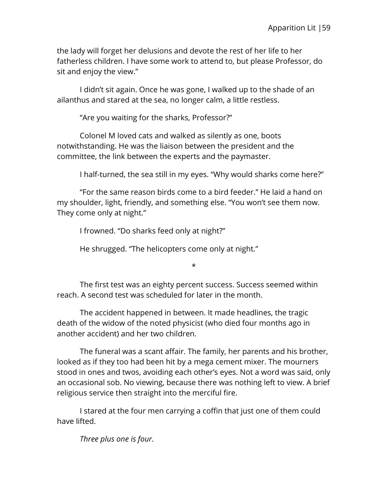the lady will forget her delusions and devote the rest of her life to her fatherless children. I have some work to attend to, but please Professor, do sit and enjoy the view."

I didn't sit again. Once he was gone, I walked up to the shade of an ailanthus and stared at the sea, no longer calm, a little restless.

"Are you waiting for the sharks, Professor?"

Colonel M loved cats and walked as silently as one, boots notwithstanding. He was the liaison between the president and the committee, the link between the experts and the paymaster.

I half-turned, the sea still in my eyes. "Why would sharks come here?"

"For the same reason birds come to a bird feeder." He laid a hand on my shoulder, light, friendly, and something else. "You won't see them now. They come only at night."

I frowned. "Do sharks feed only at night?"

He shrugged. "The helicopters come only at night."

\*

The first test was an eighty percent success. Success seemed within reach. A second test was scheduled for later in the month.

The accident happened in between. It made headlines, the tragic death of the widow of the noted physicist (who died four months ago in another accident) and her two children.

The funeral was a scant affair. The family, her parents and his brother, looked as if they too had been hit by a mega cement mixer. The mourners stood in ones and twos, avoiding each other's eyes. Not a word was said, only an occasional sob. No viewing, because there was nothing left to view. A brief religious service then straight into the merciful fire.

I stared at the four men carrying a coffin that just one of them could have lifted.

*Three plus one is four.*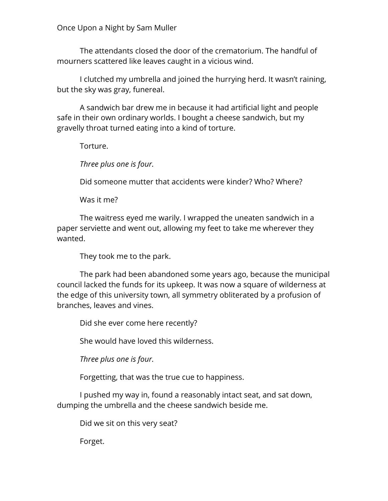Once Upon a Night by Sam Muller

The attendants closed the door of the crematorium. The handful of mourners scattered like leaves caught in a vicious wind.

I clutched my umbrella and joined the hurrying herd. It wasn't raining, but the sky was gray, funereal.

A sandwich bar drew me in because it had artificial light and people safe in their own ordinary worlds. I bought a cheese sandwich, but my gravelly throat turned eating into a kind of torture.

Torture.

*Three plus one is four.*

Did someone mutter that accidents were kinder? Who? Where?

Was it me?

The waitress eyed me warily. I wrapped the uneaten sandwich in a paper serviette and went out, allowing my feet to take me wherever they wanted.

They took me to the park.

The park had been abandoned some years ago, because the municipal council lacked the funds for its upkeep. It was now a square of wilderness at the edge of this university town, all symmetry obliterated by a profusion of branches, leaves and vines.

Did she ever come here recently?

She would have loved this wilderness.

*Three plus one is four.*

Forgetting, that was the true cue to happiness.

I pushed my way in, found a reasonably intact seat, and sat down, dumping the umbrella and the cheese sandwich beside me.

Did we sit on this very seat?

Forget.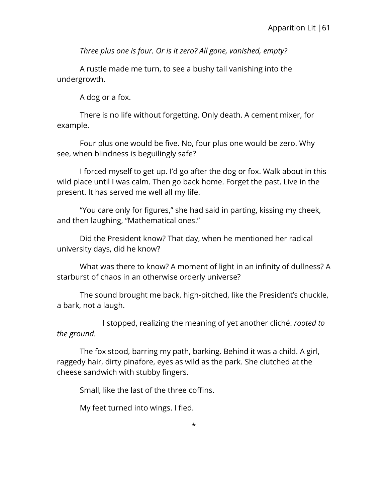*Three plus one is four. Or is it zero? All gone, vanished, empty?*

A rustle made me turn, to see a bushy tail vanishing into the undergrowth.

A dog or a fox.

There is no life without forgetting. Only death. A cement mixer, for example.

Four plus one would be five. No, four plus one would be zero. Why see, when blindness is beguilingly safe?

I forced myself to get up. I'd go after the dog or fox. Walk about in this wild place until I was calm. Then go back home. Forget the past. Live in the present. It has served me well all my life.

"You care only for figures," she had said in parting, kissing my cheek, and then laughing, "Mathematical ones."

Did the President know? That day, when he mentioned her radical university days, did he know?

What was there to know? A moment of light in an infinity of dullness? A starburst of chaos in an otherwise orderly universe?

The sound brought me back, high-pitched, like the President's chuckle, a bark, not a laugh.

I stopped, realizing the meaning of yet another cliché: *rooted to the ground*.

The fox stood, barring my path, barking. Behind it was a child. A girl, raggedy hair, dirty pinafore, eyes as wild as the park. She clutched at the cheese sandwich with stubby fingers.

Small, like the last of the three coffins.

My feet turned into wings. I fled.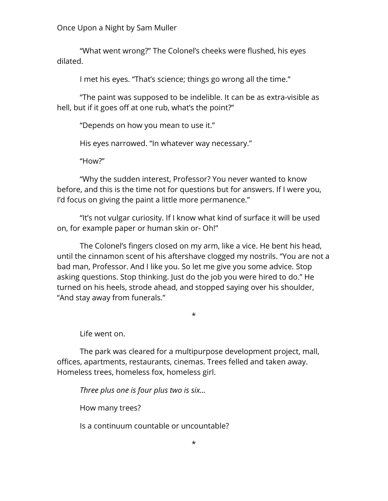Once Upon a Night by Sam Muller

"What went wrong?" The Colonel's cheeks were flushed, his eyes dilated.

I met his eyes. "That's science; things go wrong all the time."

"The paint was supposed to be indelible. It can be as extra-visible as hell, but if it goes off at one rub, what's the point?"

"Depends on how you mean to use it."

His eyes narrowed. "In whatever way necessary."

"How?"

"Why the sudden interest, Professor? You never wanted to know before, and this is the time not for questions but for answers. If I were you, I'd focus on giving the paint a little more permanence."

"It's not vulgar curiosity. If I know what kind of surface it will be used on, for example paper or human skin or- Oh!"

The Colonel's fingers closed on my arm, like a vice. He bent his head, until the cinnamon scent of his aftershave clogged my nostrils. "You are not a bad man, Professor. And I like you. So let me give you some advice. Stop asking questions. Stop thinking. Just do the job you were hired to do." He turned on his heels, strode ahead, and stopped saying over his shoulder, "And stay away from funerals."

\*

Life went on.

The park was cleared for a multipurpose development project, mall, offices, apartments, restaurants, cinemas. Trees felled and taken away. Homeless trees, homeless fox, homeless girl.

*Three plus one is four plus two is six…*

How many trees?

Is a continuum countable or uncountable?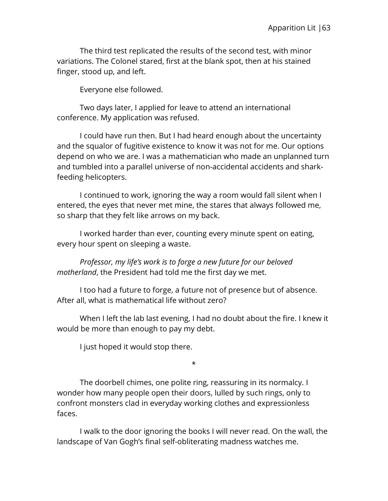The third test replicated the results of the second test, with minor variations. The Colonel stared, first at the blank spot, then at his stained finger, stood up, and left.

Everyone else followed.

Two days later, I applied for leave to attend an international conference. My application was refused.

I could have run then. But I had heard enough about the uncertainty and the squalor of fugitive existence to know it was not for me. Our options depend on who we are. I was a mathematician who made an unplanned turn and tumbled into a parallel universe of non-accidental accidents and sharkfeeding helicopters.

I continued to work, ignoring the way a room would fall silent when I entered, the eyes that never met mine, the stares that always followed me, so sharp that they felt like arrows on my back.

I worked harder than ever, counting every minute spent on eating, every hour spent on sleeping a waste.

*Professor, my life's work is to forge a new future for our beloved motherland*, the President had told me the first day we met.

I too had a future to forge, a future not of presence but of absence. After all, what is mathematical life without zero?

When I left the lab last evening, I had no doubt about the fire. I knew it would be more than enough to pay my debt.

I just hoped it would stop there.

\*

The doorbell chimes, one polite ring, reassuring in its normalcy. I wonder how many people open their doors, lulled by such rings, only to confront monsters clad in everyday working clothes and expressionless faces.

I walk to the door ignoring the books I will never read. On the wall, the landscape of Van Gogh's final self-obliterating madness watches me.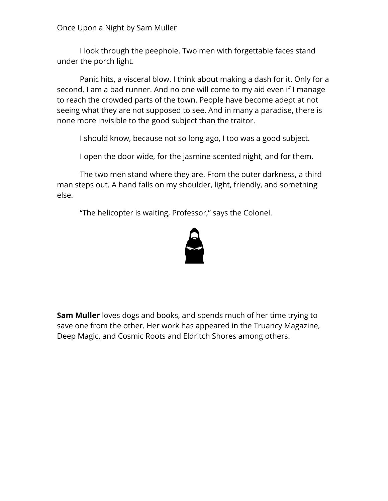Once Upon a Night by Sam Muller

I look through the peephole. Two men with forgettable faces stand under the porch light.

Panic hits, a visceral blow. I think about making a dash for it. Only for a second. I am a bad runner. And no one will come to my aid even if I manage to reach the crowded parts of the town. People have become adept at not seeing what they are not supposed to see. And in many a paradise, there is none more invisible to the good subject than the traitor.

I should know, because not so long ago, I too was a good subject.

I open the door wide, for the jasmine-scented night, and for them.

The two men stand where they are. From the outer darkness, a third man steps out. A hand falls on my shoulder, light, friendly, and something else.

"The helicopter is waiting, Professor," says the Colonel.



**Sam Muller** loves dogs and books, and spends much of her time trying to save one from the other. Her work has appeared in the Truancy Magazine, Deep Magic, and Cosmic Roots and Eldritch Shores among others.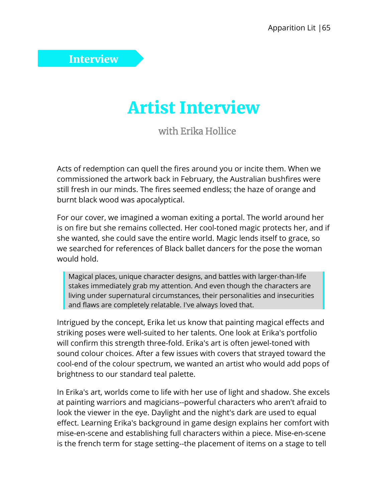## Interview

## Artist Interview

with Erika Hollice

Acts of redemption can quell the fires around you or incite them. When we commissioned the artwork back in February, the Australian bushfires were still fresh in our minds. The fires seemed endless; the haze of orange and burnt black wood was apocalyptical.

For our cover, we imagined a woman exiting a portal. The world around her is on fire but she remains collected. Her cool-toned magic protects her, and if she wanted, she could save the entire world. Magic lends itself to grace, so we searched for references of Black ballet dancers for the pose the woman would hold.

Magical places, unique character designs, and battles with larger-than-life stakes immediately grab my attention. And even though the characters are living under supernatural circumstances, their personalities and insecurities and flaws are completely relatable. I've always loved that.

Intrigued by the concept, Erika let us know that painting magical effects and striking poses were well-suited to her talents. One look at Erika's portfolio will confirm this strength three-fold. Erika's art is often jewel-toned with sound colour choices. After a few issues with covers that strayed toward the cool-end of the colour spectrum, we wanted an artist who would add pops of brightness to our standard teal palette.

In Erika's art, worlds come to life with her use of light and shadow. She excels at painting warriors and magicians--powerful characters who aren't afraid to look the viewer in the eye. Daylight and the night's dark are used to equal effect. Learning Erika's background in game design explains her comfort with mise-en-scene and establishing full characters within a piece. Mise-en-scene is the french term for stage setting--the placement of items on a stage to tell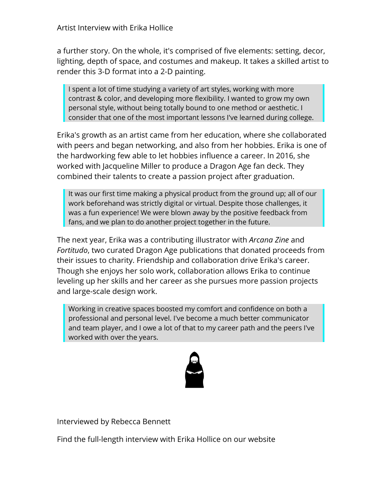a further story. On the whole, it's comprised of five elements: setting, decor, lighting, depth of space, and costumes and makeup. It takes a skilled artist to render this 3-D format into a 2-D painting.

I spent a lot of time studying a variety of art styles, working with more contrast & color, and developing more flexibility. I wanted to grow my own personal style, without being totally bound to one method or aesthetic. I consider that one of the most important lessons I've learned during college.

Erika's growth as an artist came from her education, where she collaborated with peers and began networking, and also from her hobbies. Erika is one of the hardworking few able to let hobbies influence a career. In 2016, she worked with Jacqueline Miller to produce a Dragon Age fan deck. They combined their talents to create a passion project after graduation.

It was our first time making a physical product from the ground up; all of our work beforehand was strictly digital or virtual. Despite those challenges, it was a fun experience! We were blown away by the positive feedback from fans, and we plan to do another project together in the future.

The next year, Erika was a contributing illustrator with *Arcana Zine* and *Fortitudo*, two curated Dragon Age publications that donated proceeds from their issues to charity. Friendship and collaboration drive Erika's career. Though she enjoys her solo work, collaboration allows Erika to continue leveling up her skills and her career as she pursues more passion projects and large-scale design work.

Working in creative spaces boosted my comfort and confidence on both a professional and personal level. I've become a much better communicator and team player, and I owe a lot of that to my career path and the peers I've worked with over the years.



Interviewed by Rebecca Bennett

Find the full-length interview with Erika Hollice on our website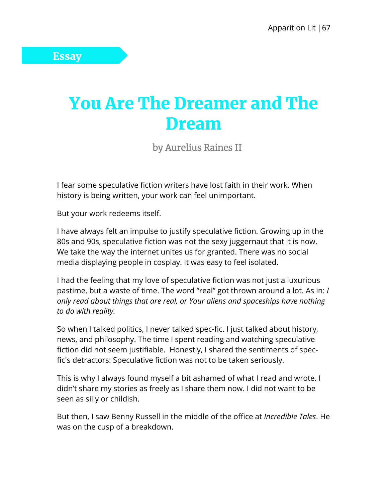# You Are The Dreamer and The Dream

by Aurelius Raines II

I fear some speculative fiction writers have lost faith in their work. When history is being written, your work can feel unimportant.

But your work redeems itself.

I have always felt an impulse to justify speculative fiction. Growing up in the 80s and 90s, speculative fiction was not the sexy juggernaut that it is now. We take the way the internet unites us for granted. There was no social media displaying people in cosplay. It was easy to feel isolated.

I had the feeling that my love of speculative fiction was not just a luxurious pastime, but a waste of time. The word "real" got thrown around a lot. As in: *I only read about things that are real, or Your aliens and spaceships have nothing to do with reality.*

So when I talked politics, I never talked spec-fic. I just talked about history, news, and philosophy. The time I spent reading and watching speculative fiction did not seem justifiable. Honestly, I shared the sentiments of specfic's detractors: Speculative fiction was not to be taken seriously.

This is why I always found myself a bit ashamed of what I read and wrote. I didn't share my stories as freely as I share them now. I did not want to be seen as silly or childish.

But then, I saw Benny Russell in the middle of the office at *Incredible Tales*. He was on the cusp of a breakdown.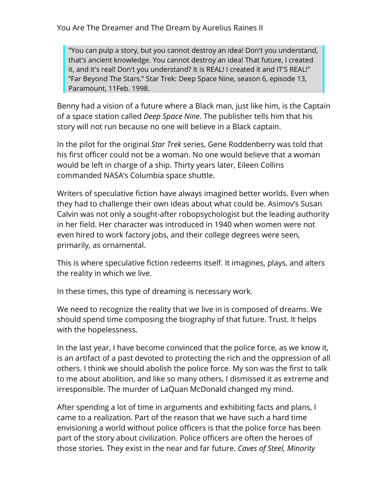"You can pulp a story, but you cannot destroy an idea! Don't you understand, that's ancient knowledge. You cannot destroy an idea! That future, I created it, and it's real! Don't you understand? It is REAL! I created it and IT'S REAL!" "Far Beyond The Stars." Star Trek: Deep Space Nine, season 6, episode 13, Paramount, 11Feb. 1998.

Benny had a vision of a future where a Black man, just like him, is the Captain of a space station called *Deep Space Nine*. The publisher tells him that his story will not run because no one will believe in a Black captain.

In the pilot for the original *Star Trek* series, Gene Roddenberry was told that his first officer could not be a woman. No one would believe that a woman would be left in charge of a ship. Thirty years later, Eileen Collins commanded NASA's Columbia space shuttle.

Writers of speculative fiction have always imagined better worlds. Even when they had to challenge their own ideas about what could be. Asimov's Susan Calvin was not only a sought-after robopsychologist but the leading authority in her field. Her character was introduced in 1940 when women were not even hired to work factory jobs, and their college degrees were seen, primarily, as ornamental.

This is where speculative fiction redeems itself. It imagines, plays, and alters the reality in which we live.

In these times, this type of dreaming is necessary work.

We need to recognize the reality that we live in is composed of dreams. We should spend time composing the biography of that future. Trust. It helps with the hopelessness.

In the last year, I have become convinced that the police force, as we know it, is an artifact of a past devoted to protecting the rich and the oppression of all others. I think we should abolish the police force. My son was the first to talk to me about abolition, and like so many others, I dismissed it as extreme and irresponsible. The murder of LaQuan McDonald changed my mind.

After spending a lot of time in arguments and exhibiting facts and plans, I came to a realization. Part of the reason that we have such a hard time envisioning a world without police officers is that the police force has been part of the story about civilization. Police officers are often the heroes of those stories. They exist in the near and far future. *Caves of Steel, Minority*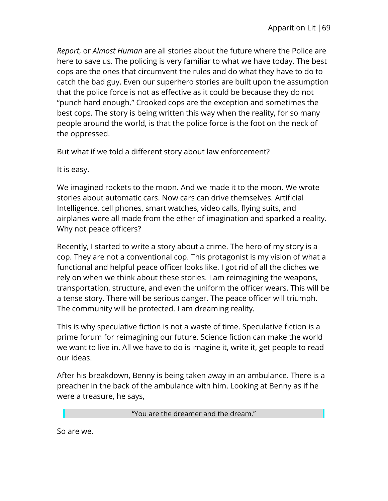*Report*, or *Almost Human* are all stories about the future where the Police are here to save us. The policing is very familiar to what we have today. The best cops are the ones that circumvent the rules and do what they have to do to catch the bad guy. Even our superhero stories are built upon the assumption that the police force is not as effective as it could be because they do not "punch hard enough." Crooked cops are the exception and sometimes the best cops. The story is being written this way when the reality, for so many people around the world, is that the police force is the foot on the neck of the oppressed.

But what if we told a different story about law enforcement?

It is easy.

We imagined rockets to the moon. And we made it to the moon. We wrote stories about automatic cars. Now cars can drive themselves. Artificial Intelligence, cell phones, smart watches, video calls, flying suits, and airplanes were all made from the ether of imagination and sparked a reality. Why not peace officers?

Recently, I started to write a story about a crime. The hero of my story is a cop. They are not a conventional cop. This protagonist is my vision of what a functional and helpful peace officer looks like. I got rid of all the cliches we rely on when we think about these stories. I am reimagining the weapons, transportation, structure, and even the uniform the officer wears. This will be a tense story. There will be serious danger. The peace officer will triumph. The community will be protected. I am dreaming reality.

This is why speculative fiction is not a waste of time. Speculative fiction is a prime forum for reimagining our future. Science fiction can make the world we want to live in. All we have to do is imagine it, write it, get people to read our ideas.

After his breakdown, Benny is being taken away in an ambulance. There is a preacher in the back of the ambulance with him. Looking at Benny as if he were a treasure, he says,

"You are the dreamer and the dream."

So are we.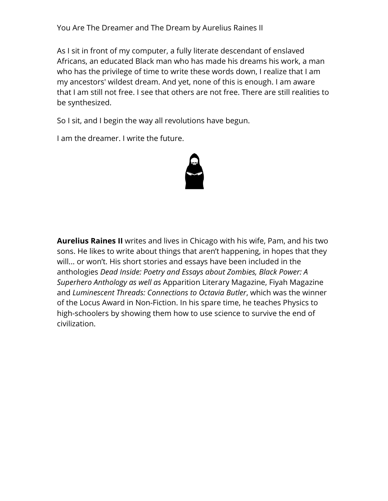You Are The Dreamer and The Dream by Aurelius Raines II

As I sit in front of my computer, a fully literate descendant of enslaved Africans, an educated Black man who has made his dreams his work, a man who has the privilege of time to write these words down, I realize that I am my ancestors' wildest dream. And yet, none of this is enough. I am aware that I am still not free. I see that others are not free. There are still realities to be synthesized.

So I sit, and I begin the way all revolutions have begun.

I am the dreamer. I write the future.



**Aurelius Raines II** writes and lives in Chicago with his wife, Pam, and his two sons. He likes to write about things that aren't happening, in hopes that they will... or won't. His short stories and essays have been included in the anthologies *Dead Inside: Poetry and Essays about Zombies, Black Power: A Superhero Anthology as well as* Apparition Literary Magazine, Fiyah Magazine and *Luminescent Threads: Connections to Octavia Butler*, which was the winner of the Locus Award in Non-Fiction. In his spare time, he teaches Physics to high-schoolers by showing them how to use science to survive the end of civilization.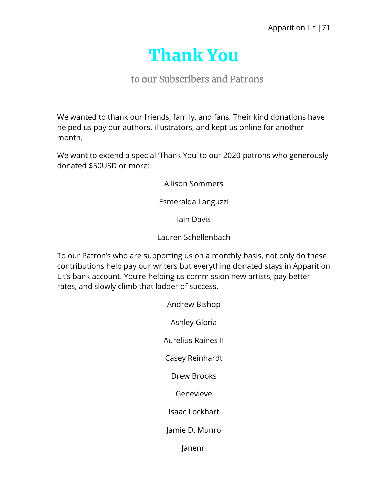

## to our Subscribers and Patrons

We wanted to thank our friends, family, and fans. Their kind donations have helped us pay our authors, illustrators, and kept us online for another month.

We want to extend a special 'Thank You' to our 2020 patrons who generously donated \$50USD or more:

Allison Sommers

Esmeralda Languzzi

Iain Davis

Lauren Schellenbach

To our Patron's who are supporting us on a monthly basis, not only do these contributions help pay our writers but everything donated stays in Apparition Lit's bank account. You're helping us commission new artists, pay better rates, and slowly climb that ladder of success.

> Andrew Bishop Ashley Gloria Aurelius Raines II Casey Reinhardt Drew Brooks Genevieve Isaac Lockhart Jamie D. Munro Janenn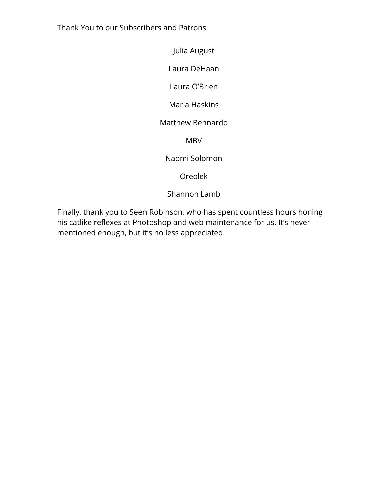Thank You to our Subscribers and Patrons

Julia August

Laura DeHaan

Laura O'Brien

Maria Haskins

## Matthew Bennardo

MBV

Naomi Solomon

Oreolek

Shannon Lamb

Finally, thank you to Seen Robinson, who has spent countless hours honing his catlike reflexes at Photoshop and web maintenance for us. It's never mentioned enough, but it's no less appreciated.